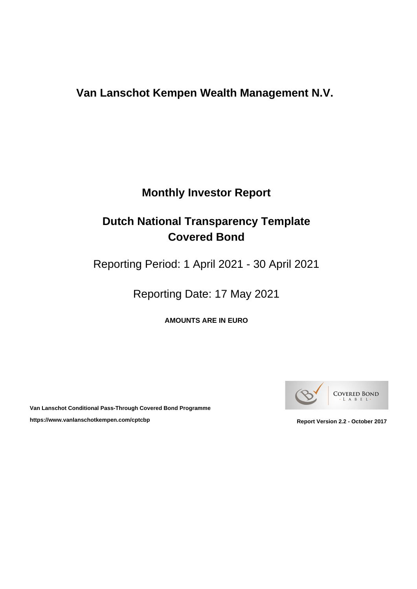# **Monthly Investor Report**

# **Dutch National Transparency Template Covered Bond**

Reporting Period: 1 April 2021 - 30 April 2021

Reporting Date: 17 May 2021

**AMOUNTS ARE IN EURO**



**Van Lanschot Conditional Pass-Through Covered Bond Programme** https://www.vanlanschotkempen.com/cptcbp<br>
Report Version 2.2 - October 2017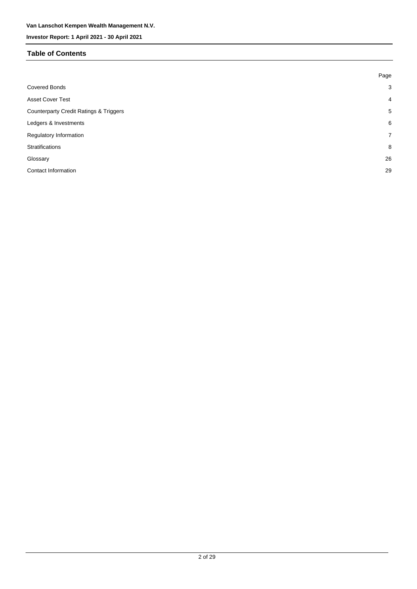#### **Table of Contents**

|                                                   | Page           |
|---------------------------------------------------|----------------|
| <b>Covered Bonds</b>                              | 3              |
| <b>Asset Cover Test</b>                           | $\overline{4}$ |
| <b>Counterparty Credit Ratings &amp; Triggers</b> | 5              |
| Ledgers & Investments                             | 6              |
| Regulatory Information                            | $\overline{7}$ |
| <b>Stratifications</b>                            | 8              |
| Glossary                                          | 26             |
| <b>Contact Information</b>                        | 29             |
|                                                   |                |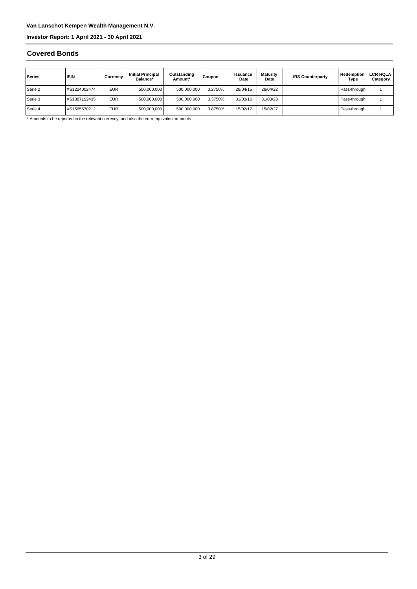#### **Covered Bonds**

| Series    | <b>ISIN</b>  | Currencv   | <b>Initial Principal</b><br>Balance* | Outstanding<br>Amount* | Coupon  | <b>Issuance</b><br>Date | Maturity<br>Date | <b>IRS Counterparty</b> | Redemption<br>Type | <b>LCR HQLA</b><br>Category |
|-----------|--------------|------------|--------------------------------------|------------------------|---------|-------------------------|------------------|-------------------------|--------------------|-----------------------------|
| Serie 2   | XS1224002474 | <b>EUR</b> | 500,000,000                          | 500,000,000            | 0.2750% | 28/04/15                | 28/04/22         |                         | Pass-through       |                             |
| l Serie 3 | XS1387192435 | <b>EUR</b> | 500,000,000                          | 500,000,000            | 0.3750% | 31/03/16                | 31/03/23         |                         | Pass-through       |                             |
| Serie 4   | XS1565570212 | <b>EUR</b> | 500,000,000                          | 500,000,000            | 0.8750% | 15/02/17                | 15/02/27         |                         | Pass-through       |                             |

\* Amounts to be reported in the relevant currency, and also the euro-equivalent amounts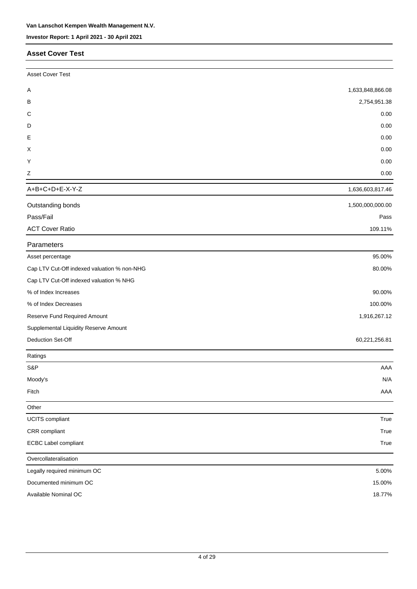#### **Asset Cover Test**

| <b>Asset Cover Test</b>                     |                  |
|---------------------------------------------|------------------|
| Α                                           | 1,633,848,866.08 |
| В                                           | 2,754,951.38     |
| С                                           | 0.00             |
| D                                           | 0.00             |
| Ε                                           | 0.00             |
| X                                           | 0.00             |
| Υ                                           | 0.00             |
| Ζ                                           | 0.00             |
| A+B+C+D+E-X-Y-Z                             | 1,636,603,817.46 |
| Outstanding bonds                           | 1,500,000,000.00 |
| Pass/Fail                                   | Pass             |
| <b>ACT Cover Ratio</b>                      | 109.11%          |
| Parameters                                  |                  |
| Asset percentage                            | 95.00%           |
| Cap LTV Cut-Off indexed valuation % non-NHG | 80.00%           |
| Cap LTV Cut-Off indexed valuation % NHG     |                  |
| % of Index Increases                        | 90.00%           |
| % of Index Decreases                        | 100.00%          |
| Reserve Fund Required Amount                | 1,916,267.12     |
| Supplemental Liquidity Reserve Amount       |                  |
| Deduction Set-Off                           | 60,221,256.81    |
| Ratings                                     |                  |
| S&P                                         | AAA              |
| Moody's                                     | N/A              |
| Fitch                                       | AAA              |
| Other                                       |                  |
| <b>UCITS</b> compliant                      | True             |
| CRR compliant                               | True             |
| <b>ECBC Label compliant</b>                 | True             |
| Overcollateralisation                       |                  |
| Legally required minimum OC                 | 5.00%            |
| Documented minimum OC                       | 15.00%           |
| Available Nominal OC                        | 18.77%           |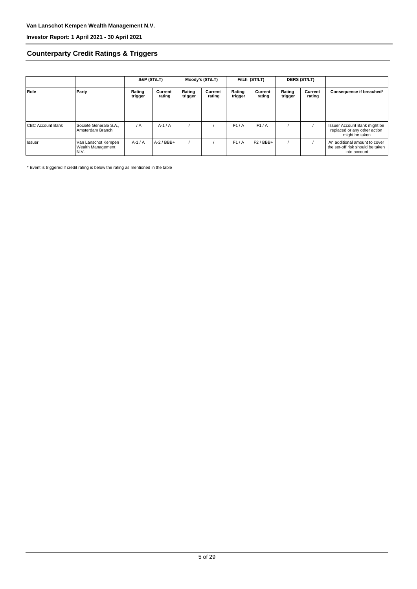#### **Counterparty Credit Ratings & Triggers**

|                         |                                                  | S&P (ST/LT)       |                   | Moody's (ST/LT)   |                   | Fitch (ST/LT)     |                   | <b>DBRS (ST/LT)</b> |                   |                                                                                   |  |
|-------------------------|--------------------------------------------------|-------------------|-------------------|-------------------|-------------------|-------------------|-------------------|---------------------|-------------------|-----------------------------------------------------------------------------------|--|
| Role                    | Party                                            | Rating<br>trigger | Current<br>rating | Rating<br>trigger | Current<br>rating | Rating<br>trigger | Current<br>rating | Rating<br>trigger   | Current<br>rating | Consequence if breached*                                                          |  |
| <b>CBC Account Bank</b> | Société Générale S.A<br>Amsterdam Branch         | $\overline{A}$    | $A-1/A$           |                   |                   | F1/A              | F1/A              |                     |                   | Issuer Account Bank might be<br>replaced or any other action<br>might be taken    |  |
| l Issuer                | Van Lanschot Kempen<br>Wealth Management<br>N.V. | $A-1/A$           | $A-2$ / BBB+      |                   |                   | F1/A              | $F2/BBB+$         |                     |                   | An additional amount to cover<br>the set-off risk should be taken<br>into account |  |

\* Event is triggered if credit rating is below the rating as mentioned in the table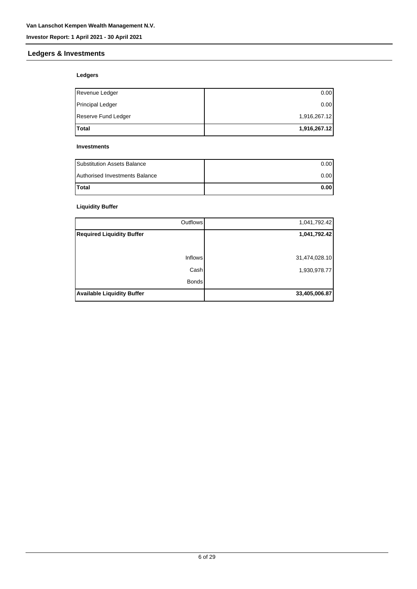#### **Ledgers & Investments**

#### **Ledgers**

| <b>Total</b>            | 1,916,267.12 |
|-------------------------|--------------|
| Reserve Fund Ledger     | 1,916,267.12 |
| <b>Principal Ledger</b> | 0.00         |
| Revenue Ledger          | 0.00         |

#### **Investments**

| <b>Substitution Assets Balance</b> | 0.001 |
|------------------------------------|-------|
| Authorised Investments Balance     | 0.001 |
| <b>Total</b>                       | 0.001 |

#### **Liquidity Buffer**

| <b>Inflows</b>                    | 31,474,028.10 |
|-----------------------------------|---------------|
| Cash<br><b>Bonds</b>              | 1,930,978.77  |
| <b>Available Liquidity Buffer</b> | 33,405,006.87 |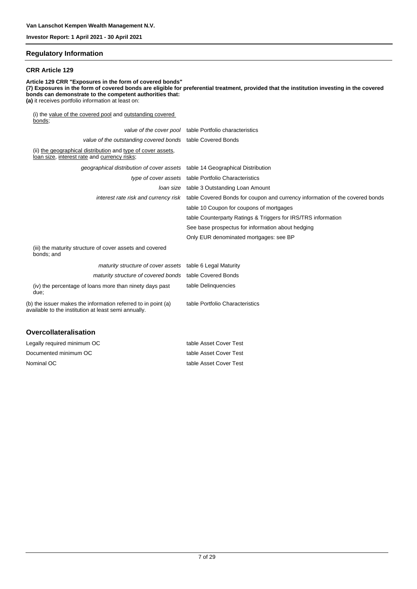#### **Regulatory Information**

#### **CRR Article 129**

**Article 129 CRR "Exposures in the form of covered bonds" (7) Exposures in the form of covered bonds are eligible for preferential treatment, provided that the institution investing in the covered bonds can demonstrate to the competent authorities that: (a)** it receives portfolio information at least on: (i) the value of the covered pool and outstanding covered bonds; value of the cover pool table Portfolio characteristics value of the outstanding covered bonds table Covered Bonds (ii) the geographical distribution and type of cover assets, loan size, interest rate and currency risks; geographical distribution of cover assets table 14 Geographical Distribution type of cover assets table Portfolio Characteristics loan size table 3 Outstanding Loan Amount interest rate risk and currency risk table Covered Bonds for coupon and currency information of the covered bonds table 10 Coupon for coupons of mortgages table Counterparty Ratings & Triggers for IRS/TRS information See base prospectus for information about hedging Only EUR denominated mortgages: see BP (iii) the maturity structure of cover assets and covered bonds; and

| <i>maturity structure of cover assets</i> table 6 Legal Maturity                                                      |                                 |
|-----------------------------------------------------------------------------------------------------------------------|---------------------------------|
| maturity structure of covered bonds table Covered Bonds                                                               |                                 |
| (iv) the percentage of loans more than ninety days past<br>due:                                                       | table Delinguencies             |
| (b) the issuer makes the information referred to in point (a)<br>available to the institution at least semi annually. | table Portfolio Characteristics |
|                                                                                                                       |                                 |

#### **Overcollateralisation**

| Legally required minimum OC | table Asset Cover Test |
|-----------------------------|------------------------|
| Documented minimum OC       | table Asset Cover Test |
| Nominal OC                  | table Asset Cover Test |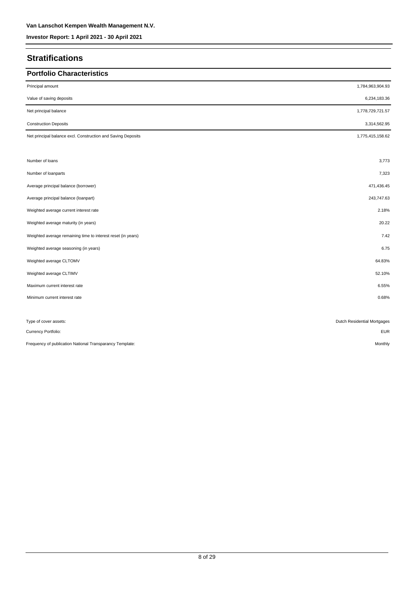## **Stratifications**

| <b>Portfolio Characteristics</b>                             |                             |
|--------------------------------------------------------------|-----------------------------|
| Principal amount                                             | 1,784,963,904.93            |
| Value of saving deposits                                     | 6,234,183.36                |
| Net principal balance                                        | 1,778,729,721.57            |
| <b>Construction Deposits</b>                                 | 3,314,562.95                |
| Net principal balance excl. Construction and Saving Deposits | 1,775,415,158.62            |
|                                                              |                             |
| Number of loans                                              | 3,773                       |
| Number of loanparts                                          | 7,323                       |
| Average principal balance (borrower)                         | 471,436.45                  |
| Average principal balance (loanpart)                         | 243,747.63                  |
| Weighted average current interest rate                       | 2.18%                       |
| Weighted average maturity (in years)                         | 20.22                       |
| Weighted average remaining time to interest reset (in years) | 7.42                        |
| Weighted average seasoning (in years)                        | 6.75                        |
| Weighted average CLTOMV                                      | 64.83%                      |
| Weighted average CLTIMV                                      | 52.10%                      |
| Maximum current interest rate                                | 6.55%                       |
| Minimum current interest rate                                | 0.68%                       |
|                                                              |                             |
| Type of cover assets:                                        | Dutch Residential Mortgages |
| Currency Portfolio:                                          | <b>EUR</b>                  |
| Frequency of publication National Transparancy Template:     | Monthly                     |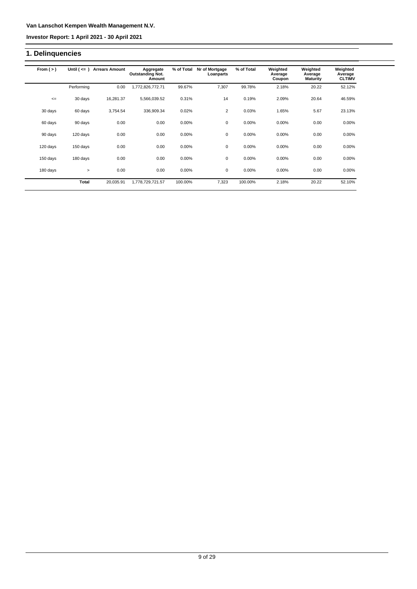**Investor Report: 1 April 2021 - 30 April 2021**

## **1. Delinquencies**

| From $(>)$ | Until $($ $\leq$ $=$ $)$ | <b>Arrears Amount</b> | Aggregate<br><b>Outstanding Not.</b><br>Amount | % of Total | Nr of Mortgage<br>Loanparts | % of Total | Weighted<br>Average<br>Coupon | Weighted<br>Average<br><b>Maturity</b> | Weighted<br>Average<br><b>CLTIMV</b> |
|------------|--------------------------|-----------------------|------------------------------------------------|------------|-----------------------------|------------|-------------------------------|----------------------------------------|--------------------------------------|
|            | Performing               | 0.00                  | 1,772,826,772.71                               | 99.67%     | 7,307                       | 99.78%     | 2.18%                         | 20.22                                  | 52.12%                               |
| $\leq$     | 30 days                  | 16,281.37             | 5,566,039.52                                   | 0.31%      | 14                          | 0.19%      | 2.09%                         | 20.64                                  | 46.59%                               |
| 30 days    | 60 days                  | 3,754.54              | 336,909.34                                     | 0.02%      | 2                           | 0.03%      | 1.65%                         | 5.67                                   | 23.13%                               |
| 60 days    | 90 days                  | 0.00                  | 0.00                                           | 0.00%      | $\mathbf 0$                 | 0.00%      | 0.00%                         | 0.00                                   | 0.00%                                |
| 90 days    | 120 days                 | 0.00                  | 0.00                                           | 0.00%      | 0                           | 0.00%      | 0.00%                         | 0.00                                   | 0.00%                                |
| 120 days   | 150 days                 | 0.00                  | 0.00                                           | 0.00%      | 0                           | 0.00%      | 0.00%                         | 0.00                                   | 0.00%                                |
| 150 days   | 180 days                 | 0.00                  | 0.00                                           | 0.00%      | 0                           | 0.00%      | 0.00%                         | 0.00                                   | 0.00%                                |
| 180 days   | $\geq$                   | 0.00                  | 0.00                                           | 0.00%      | 0                           | $0.00\%$   | 0.00%                         | 0.00                                   | 0.00%                                |
|            | <b>Total</b>             | 20,035.91             | 1,778,729,721.57                               | 100.00%    | 7,323                       | 100.00%    | 2.18%                         | 20.22                                  | 52.10%                               |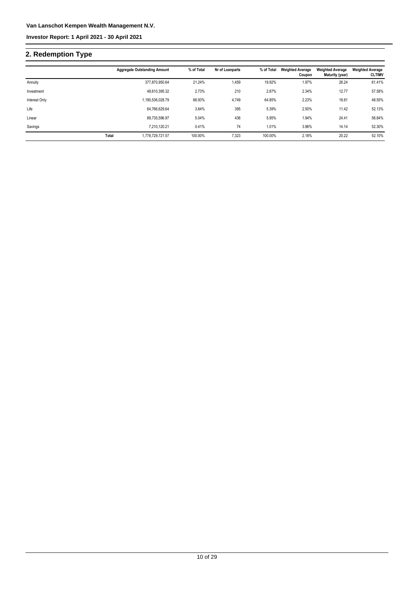## **2. Redemption Type**

|               |       | <b>Aggregate Outstanding Amount</b> | % of Total | Nr of Loanparts | % of Total | <b>Weighted Average</b><br>Coupon | <b>Weighted Average</b><br>Maturity (year) | <b>Weighted Average</b><br><b>CLTIMV</b> |
|---------------|-------|-------------------------------------|------------|-----------------|------------|-----------------------------------|--------------------------------------------|------------------------------------------|
| Annuity       |       | 377.870.950.64                      | 21.24%     | 1,459           | 19.92%     | 1.97%                             | 26.24                                      | 61.41%                                   |
| Investment    |       | 48,610,395.32                       | 2.73%      | 210             | 2.87%      | 2.34%                             | 12.77                                      | 57.58%                                   |
| Interest Only |       | 1,190,536,028.79                    | 66.93%     | 4,749           | 64.85%     | 2.23%                             | 18.81                                      | 48.55%                                   |
| Life          |       | 64,766,629.64                       | 3.64%      | 395             | 5.39%      | 2.50%                             | 11.42                                      | 52.13%                                   |
| Linear        |       | 89.735.596.97                       | 5.04%      | 436             | 5.95%      | 1.94%                             | 24.41                                      | 56.84%                                   |
| Savings       |       | 7,210,120.21                        | 0.41%      | 74              | 1.01%      | 3.96%                             | 14.14                                      | 52.30%                                   |
|               | Total | 1.778.729.721.57                    | 100.00%    | 7,323           | 100.00%    | 2.18%                             | 20.22                                      | 52.10%                                   |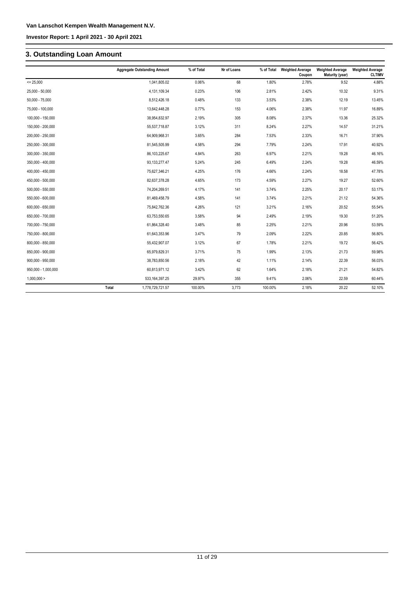## **3. Outstanding Loan Amount**

|                     | <b>Aggregate Outstanding Amount</b> | % of Total | Nr of Loans | % of Total | <b>Weighted Average</b><br>Coupon | <b>Weighted Average</b><br>Maturity (year) | <b>Weighted Average</b><br><b>CLTIMV</b> |
|---------------------|-------------------------------------|------------|-------------|------------|-----------------------------------|--------------------------------------------|------------------------------------------|
| $= 25,000$          | 1,041,805.02                        | 0.06%      | 68          | 1.80%      | 2.78%                             | 9.52                                       | 4.88%                                    |
| $25,000 - 50,000$   | 4,131,109.34                        | 0.23%      | 106         | 2.81%      | 2.42%                             | 10.32                                      | 9.31%                                    |
| $50,000 - 75,000$   | 8,512,426.18                        | 0.48%      | 133         | 3.53%      | 2.38%                             | 12.19                                      | 13.45%                                   |
| 75,000 - 100,000    | 13,642,448.28                       | 0.77%      | 153         | 4.06%      | 2.38%                             | 11.97                                      | 16.89%                                   |
| 100,000 - 150,000   | 38,954,832.97                       | 2.19%      | 305         | 8.08%      | 2.37%                             | 13.36                                      | 25.32%                                   |
| 150,000 - 200,000   | 55,537,718.87                       | 3.12%      | 311         | 8.24%      | 2.27%                             | 14.57                                      | 31.21%                                   |
| 200,000 - 250,000   | 64,909,968.31                       | 3.65%      | 284         | 7.53%      | 2.33%                             | 16.71                                      | 37.90%                                   |
| 250,000 - 300,000   | 81,545,505.99                       | 4.58%      | 294         | 7.79%      | 2.24%                             | 17.91                                      | 40.92%                                   |
| 300,000 - 350,000   | 86,103,225.67                       | 4.84%      | 263         | 6.97%      | 2.21%                             | 19.28                                      | 46.16%                                   |
| 350,000 - 400,000   | 93, 133, 277. 47                    | 5.24%      | 245         | 6.49%      | 2.24%                             | 19.28                                      | 46.59%                                   |
| 400,000 - 450,000   | 75,627,346.21                       | 4.25%      | 176         | 4.66%      | 2.24%                             | 18.58                                      | 47.78%                                   |
| 450,000 - 500,000   | 82,637,378.28                       | 4.65%      | 173         | 4.59%      | 2.27%                             | 19.27                                      | 52.60%                                   |
| 500,000 - 550,000   | 74,204,269.51                       | 4.17%      | 141         | 3.74%      | 2.25%                             | 20.17                                      | 53.17%                                   |
| 550,000 - 600,000   | 81,469,458.79                       | 4.58%      | 141         | 3.74%      | 2.21%                             | 21.12                                      | 54.36%                                   |
| 600,000 - 650,000   | 75,842,762.36                       | 4.26%      | 121         | 3.21%      | 2.16%                             | 20.52                                      | 55.54%                                   |
| 650,000 - 700,000   | 63,753,550.65                       | 3.58%      | 94          | 2.49%      | 2.19%                             | 19.30                                      | 51.20%                                   |
| 700,000 - 750,000   | 61,864,328.40                       | 3.48%      | 85          | 2.25%      | 2.21%                             | 20.96                                      | 53.59%                                   |
| 750,000 - 800,000   | 61,643,353.96                       | 3.47%      | 79          | 2.09%      | 2.22%                             | 20.85                                      | 56.80%                                   |
| 800,000 - 850,000   | 55,432,907.07                       | 3.12%      | 67          | 1.78%      | 2.21%                             | 19.72                                      | 56.42%                                   |
| 850,000 - 900,000   | 65,979,829.31                       | 3.71%      | 75          | 1.99%      | 2.13%                             | 21.73                                      | 59.98%                                   |
| 900,000 - 950,000   | 38,783,850.56                       | 2.18%      | 42          | 1.11%      | 2.14%                             | 22.39                                      | 56.03%                                   |
| 950,000 - 1,000,000 | 60,813,971.12                       | 3.42%      | 62          | 1.64%      | 2.18%                             | 21.21                                      | 54.82%                                   |
| 1,000,000 >         | 533, 164, 397. 25                   | 29.97%     | 355         | 9.41%      | 2.06%                             | 22.59                                      | 60.44%                                   |
|                     | Total<br>1,778,729,721.57           | 100.00%    | 3,773       | 100.00%    | 2.18%                             | 20.22                                      | 52.10%                                   |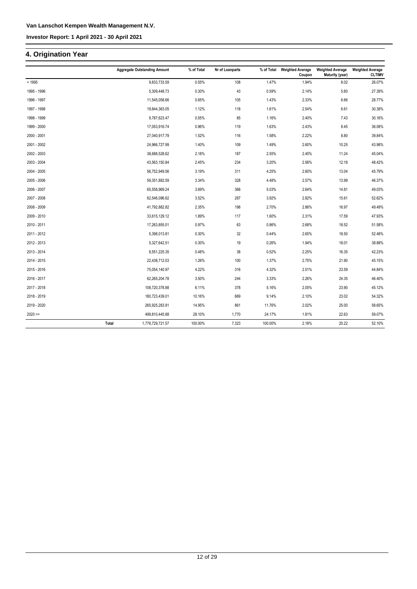### **4. Origination Year**

|             |       | <b>Aggregate Outstanding Amount</b> | % of Total | Nr of Loanparts | % of Total | <b>Weighted Average</b><br>Coupon | <b>Weighted Average</b><br>Maturity (year) | <b>Weighted Average</b><br><b>CLTIMV</b> |
|-------------|-------|-------------------------------------|------------|-----------------|------------|-----------------------------------|--------------------------------------------|------------------------------------------|
| < 1995      |       | 9,833,733.59                        | 0.55%      | 108             | 1.47%      | 1.94%                             | 8.02                                       | 26.07%                                   |
| 1995 - 1996 |       | 5,309,448.73                        | 0.30%      | 43              | 0.59%      | 2.14%                             | 5.60                                       | 27.39%                                   |
| 1996 - 1997 |       | 11,545,058.66                       | 0.65%      | 105             | 1.43%      | 2.33%                             | 6.66                                       | 28.77%                                   |
| 1997 - 1998 |       | 19,844,363.05                       | 1.12%      | 118             | 1.61%      | 2.54%                             | 6.61                                       | 30.38%                                   |
| 1998 - 1999 |       | 9,787,623.47                        | 0.55%      | 85              | 1.16%      | 2.40%                             | 7.43                                       | 30.16%                                   |
| 1999 - 2000 |       | 17,053,916.74                       | 0.96%      | 119             | 1.63%      | 2.43%                             | 8.45                                       | 36.08%                                   |
| 2000 - 2001 |       | 27,040,917.79                       | 1.52%      | 116             | 1.58%      | 2.22%                             | 8.80                                       | 39.84%                                   |
| 2001 - 2002 |       | 24,966,727.99                       | 1.40%      | 109             | 1.49%      | 2.60%                             | 10.25                                      | 43.98%                                   |
| 2002 - 2003 |       | 38,688,528.62                       | 2.18%      | 187             | 2.55%      | 2.45%                             | 11.24                                      | 45.04%                                   |
| 2003 - 2004 |       | 43,563,150.84                       | 2.45%      | 234             | 3.20%      | 2.56%                             | 12.18                                      | 48.42%                                   |
| 2004 - 2005 |       | 56,752,949.56                       | 3.19%      | 311             | 4.25%      | 2.60%                             | 13.04                                      | 45.79%                                   |
| 2005 - 2006 |       | 59,351,882.59                       | 3.34%      | 328             | 4.48%      | 2.57%                             | 13.99                                      | 46.37%                                   |
| 2006 - 2007 |       | 65,558,969.24                       | 3.69%      | 368             | 5.03%      | 2.64%                             | 14.81                                      | 49.03%                                   |
| 2007 - 2008 |       | 62,546,096.62                       | 3.52%      | 287             | 3.92%      | 2.82%                             | 15.61                                      | 52.62%                                   |
| 2008 - 2009 |       | 41,792,882.82                       | 2.35%      | 198             | 2.70%      | 2.86%                             | 16.97                                      | 49.49%                                   |
| 2009 - 2010 |       | 33,615,129.12                       | 1.89%      | 117             | 1.60%      | 2.31%                             | 17.59                                      | 47.93%                                   |
| 2010 - 2011 |       | 17,263,855.01                       | 0.97%      | 63              | 0.86%      | 2.68%                             | 18.52                                      | 51.58%                                   |
| 2011 - 2012 |       | 5,398,013.81                        | 0.30%      | 32              | 0.44%      | 2.65%                             | 18.50                                      | 52.48%                                   |
| 2012 - 2013 |       | 5,327,642.51                        | 0.30%      | 19              | 0.26%      | 1.94%                             | 18.01                                      | 38.88%                                   |
| 2013 - 2014 |       | 8,551,225.35                        | 0.48%      | 38              | 0.52%      | 2.25%                             | 16.35                                      | 42.23%                                   |
| 2014 - 2015 |       | 22,438,712.03                       | 1.26%      | 100             | 1.37%      | 2.75%                             | 21.90                                      | 45.15%                                   |
| 2015 - 2016 |       | 75,054,140.97                       | 4.22%      | 316             | 4.32%      | 2.51%                             | 23.59                                      | 44.84%                                   |
| 2016 - 2017 |       | 62,265,204.78                       | 3.50%      | 244             | 3.33%      | 2.26%                             | 24.35                                      | 46.40%                                   |
| 2017 - 2018 |       | 108,720,378.88                      | 6.11%      | 378             | 5.16%      | 2.05%                             | 23.90                                      | 45.12%                                   |
| 2018 - 2019 |       | 180,723,439.01                      | 10.16%     | 669             | 9.14%      | 2.10%                             | 23.02                                      | 54.32%                                   |
| 2019 - 2020 |       | 265,925,283.91                      | 14.95%     | 861             | 11.76%     | 2.02%                             | 25.00                                      | 58.65%                                   |
| $2020 =$    |       | 499,810,445.88                      | 28.10%     | 1,770           | 24.17%     | 1.81%                             | 22.63                                      | 59.07%                                   |
|             | Total | 1,778,729,721.57                    | 100.00%    | 7,323           | 100.00%    | 2.18%                             | 20.22                                      | 52.10%                                   |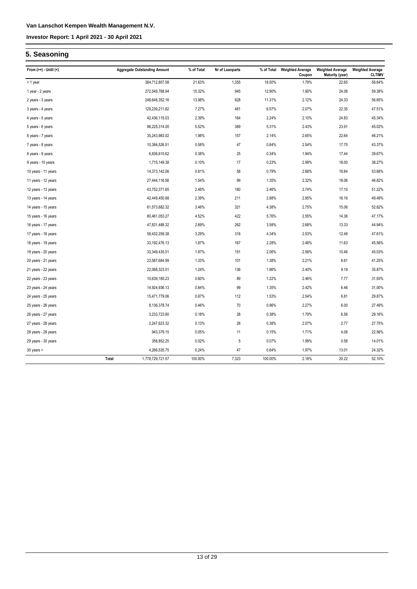## **5. Seasoning**

| From $(>=) -$ Until $($ |       | <b>Aggregate Outstanding Amount</b> | % of Total | Nr of Loanparts | % of Total | <b>Weighted Average</b><br>Coupon | <b>Weighted Average</b><br><b>Maturity (year)</b> | <b>Weighted Average</b><br><b>CLTIMV</b> |
|-------------------------|-------|-------------------------------------|------------|-----------------|------------|-----------------------------------|---------------------------------------------------|------------------------------------------|
| < 1 year                |       | 384,712,807.58                      | 21.63%     | 1,355           | 18.50%     | 1.79%                             | 22.65                                             | 58.64%                                   |
| 1 year - 2 years        |       | 272,549,768.94                      | 15.32%     | 945             | 12.90%     | 1.90%                             | 24.08                                             | 59.38%                                   |
| 2 years - 3 years       |       | 248,648,352.16                      | 13.98%     | 828             | 11.31%     | 2.12%                             | 24.33                                             | 56.65%                                   |
| 3 years - 4 years       |       | 129,239,211.82                      | 7.27%      | 481             | 6.57%      | 2.07%                             | 22.35                                             | 47.51%                                   |
| 4 years - 5 years       |       | 42,436,115.03                       | 2.39%      | 164             | 2.24%      | 2.10%                             | 24.83                                             | 45.34%                                   |
| 5 years - 6 years       |       | 98,225,314.00                       | 5.52%      | 389             | 5.31%      | 2.43%                             | 23.91                                             | 45.02%                                   |
| 6 years - 7 years       |       | 35,243,983.02                       | 1.98%      | 157             | 2.14%      | 2.65%                             | 22.64                                             | 46.21%                                   |
| 7 years - 8 years       |       | 10,384,526.51                       | 0.58%      | $47\,$          | 0.64%      | 2.54%                             | 17.75                                             | 43.37%                                   |
| 8 years - 9 years       |       | 6,836,615.62                        | 0.38%      | 25              | 0.34%      | 1.94%                             | 17.44                                             | 39.67%                                   |
| 9 years - 10 years      |       | 1,715,149.38                        | 0.10%      | 17              | 0.23%      | 2.99%                             | 18.00                                             | 38.27%                                   |
| 10 years - 11 years     |       | 14,373,142.06                       | 0.81%      | 58              | 0.79%      | 2.68%                             | 18.84                                             | 53.68%                                   |
| 11 years - 12 years     |       | 27,444,116.56                       | 1.54%      | 99              | 1.35%      | 2.32%                             | 18.06                                             | 46.82%                                   |
| 12 years - 13 years     |       | 43,752,371.65                       | 2.46%      | 180             | 2.46%      | 2.74%                             | 17.10                                             | 51.22%                                   |
| 13 years - 14 years     |       | 42,449,450.88                       | 2.39%      | 211             | 2.88%      | 2.85%                             | 16.16                                             | 49.49%                                   |
| 14 years - 15 years     |       | 61,573,682.32                       | 3.46%      | 321             | 4.38%      | 2.75%                             | 15.06                                             | 52.82%                                   |
| 15 years - 16 years     |       | 80,461,053.27                       | 4.52%      | 422             | 5.76%      | 2.55%                             | 14.36                                             | 47.17%                                   |
| 16 years - 17 years     |       | 47,831,488.32                       | 2.69%      | 262             | 3.58%      | 2.68%                             | 13.33                                             | 44.94%                                   |
| 17 years - 18 years     |       | 58,432,259.38                       | 3.29%      | 318             | 4.34%      | 2.53%                             | 12.49                                             | 47.61%                                   |
| 18 years - 19 years     |       | 33, 192, 476. 13                    | 1.87%      | 167             | 2.28%      | 2.46%                             | 11.63                                             | 45.58%                                   |
| 19 years - 20 years     |       | 33,349,435.51                       | 1.87%      | 151             | 2.06%      | 2.56%                             | 10.46                                             | 45.03%                                   |
| 20 years - 21 years     |       | 23,587,684.99                       | 1.33%      | 101             | 1.38%      | 2.21%                             | 8.61                                              | 41.25%                                   |
| 21 years - 22 years     |       | 22,068,323.01                       | 1.24%      | 136             | 1.86%      | 2.40%                             | 9.19                                              | 35.87%                                   |
| 22 years - 23 years     |       | 10,639,185.23                       | 0.60%      | 89              | 1.22%      | 2.46%                             | 7.77                                              | 31.93%                                   |
| 23 years - 24 years     |       | 14,924,936.13                       | 0.84%      | 99              | 1.35%      | 2.42%                             | 6.46                                              | 31.00%                                   |
| 24 years - 25 years     |       | 15,471,779.06                       | 0.87%      | 112             | 1.53%      | 2.54%                             | 6.81                                              | 29.87%                                   |
| 25 years - 26 years     |       | 8,136,378.74                        | 0.46%      | 70              | 0.96%      | 2.27%                             | 6.00                                              | 27.49%                                   |
| 26 years - 27 years     |       | 3,233,723.80                        | 0.18%      | 28              | 0.38%      | 1.79%                             | 6.56                                              | 29.16%                                   |
| 27 years - 28 years     |       | 2,247,623.32                        | 0.13%      | 28              | 0.38%      | 2.07%                             | 2.77                                              | 27.75%                                   |
| 28 years - 29 years     |       | 943,379.15                          | 0.05%      | 11              | 0.15%      | 1.71%                             | 4.08                                              | 22.56%                                   |
| 29 years - 30 years     |       | 358,852.25                          | 0.02%      | $\sqrt{5}$      | 0.07%      | 1.99%                             | 0.58                                              | 14.01%                                   |
| 30 years >              |       | 4,266,535.75                        | 0.24%      | 47              | 0.64%      | 1.97%                             | 13.01                                             | 24.32%                                   |
|                         | Total | 1,778,729,721.57                    | 100.00%    | 7,323           | 100.00%    | 2.18%                             | 20.22                                             | 52.10%                                   |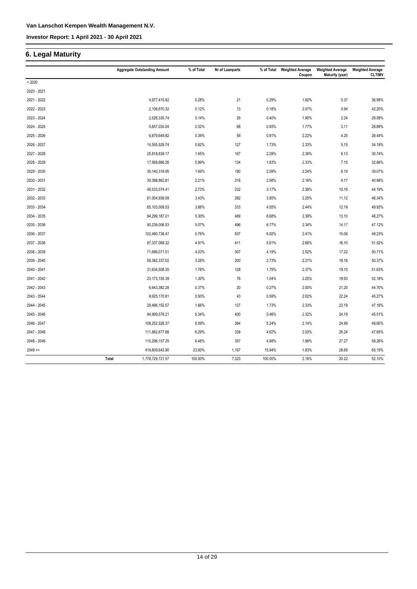## **6. Legal Maturity**

|             |       | <b>Aggregate Outstanding Amount</b> | % of Total | Nr of Loanparts | % of Total | <b>Weighted Average</b><br>Coupon | <b>Weighted Average</b><br>Maturity (year) | <b>Weighted Average</b><br><b>CLTIMV</b> |
|-------------|-------|-------------------------------------|------------|-----------------|------------|-----------------------------------|--------------------------------------------|------------------------------------------|
| < 2020      |       |                                     |            |                 |            |                                   |                                            |                                          |
| 2020 - 2021 |       |                                     |            |                 |            |                                   |                                            |                                          |
| 2021 - 2022 |       | 4,977,415.82                        | 0.28%      | 21              | 0.29%      | 1.82%                             | 0.37                                       | 36.99%                                   |
| 2022 - 2023 |       | 2,106,670.32                        | 0.12%      | 13              | 0.18%      | 2.07%                             | 0.94                                       | 42.20%                                   |
| 2023 - 2024 |       | 2,528,335.74                        | 0.14%      | 29              | 0.40%      | 1.90%                             | 2.24                                       | 29.08%                                   |
| 2024 - 2025 |       | 5,657,030.04                        | 0.32%      | 68              | 0.93%      | 1.77%                             | 3.11                                       | 28.89%                                   |
| 2025 - 2026 |       | 6,879,649.82                        | 0.39%      | 59              | 0.81%      | 2.22%                             | 4.25                                       | 28.44%                                   |
| 2026 - 2027 |       | 14,555,529.74                       | 0.82%      | 127             | 1.73%      | 2.33%                             | 5.15                                       | 34.19%                                   |
| 2027 - 2028 |       | 25,818,839.17                       | 1.45%      | 167             | 2.28%      | 2.38%                             | 6.13                                       | 30.74%                                   |
| 2028 - 2029 |       | 17,568,666.26                       | 0.99%      | 134             | 1.83%      | 2.33%                             | 7.15                                       | 32.66%                                   |
| 2029 - 2030 |       | 30,140,318.95                       | 1.69%      | 190             | 2.59%      | 2.24%                             | 8.19                                       | 39.07%                                   |
| 2030 - 2031 |       | 39,398,862.81                       | 2.21%      | 218             | 2.98%      | 2.18%                             | 9.17                                       | 40.99%                                   |
| 2031 - 2032 |       | 48,533,074.41                       | 2.73%      | 232             | 3.17%      | 2.38%                             | 10.16                                      | 44.19%                                   |
| 2032 - 2033 |       | 61,004,938.09                       | 3.43%      | 282             | 3.85%      | 2.25%                             | 11.12                                      | 46.34%                                   |
| 2033 - 2034 |       | 65,103,009.53                       | 3.66%      | 333             | 4.55%      | 2.44%                             | 12.19                                      | 49.93%                                   |
| 2034 - 2035 |       | 94,299,187.01                       | 5.30%      | 489             | 6.68%      | 2.39%                             | 13.10                                      | 48.27%                                   |
| 2035 - 2036 |       | 90,239,006.53                       | 5.07%      | 496             | 6.77%      | 2.34%                             | 14.17                                      | 47.12%                                   |
| 2036 - 2037 |       | 102,480,736.47                      | 5.76%      | 507             | 6.92%      | 2.41%                             | 15.06                                      | 49.23%                                   |
| 2037 - 2038 |       | 87,337,089.32                       | 4.91%      | 411             | 5.61%      | 2.68%                             | 16.10                                      | 51.52%                                   |
| 2038 - 2039 |       | 71,696,071.51                       | 4.03%      | 307             | 4.19%      | 2.52%                             | 17.22                                      | 50.71%                                   |
| 2039 - 2040 |       | 58,382,337.02                       | 3.28%      | 200             | 2.73%      | 2.21%                             | 18.16                                      | 50.37%                                   |
| 2040 - 2041 |       | 31,634,508.35                       | 1.78%      | 128             | 1.75%      | 2.37%                             | 19.10                                      | 51.63%                                   |
| 2041 - 2042 |       | 23, 173, 155.39                     | 1.30%      | 76              | 1.04%      | 2.25%                             | 19.93                                      | 52.18%                                   |
| 2042 - 2043 |       | 6,643,382.28                        | 0.37%      | 20              | 0.27%      | 2.00%                             | 21.20                                      | 44.70%                                   |
| 2043 - 2044 |       | 8,925,170.81                        | 0.50%      | 43              | 0.59%      | 2.02%                             | 22.24                                      | 45.27%                                   |
| 2044 - 2045 |       | 29,496,152.57                       | 1.66%      | 127             | 1.73%      | 2.33%                             | 23.19                                      | 47.16%                                   |
| 2045 - 2046 |       | 94,909,576.21                       | 5.34%      | 400             | 5.46%      | 2.32%                             | 24.19                                      | 45.51%                                   |
| 2046 - 2047 |       | 108,252,528.37                      | 6.09%      | 384             | 5.24%      | 2.14%                             | 24.99                                      | 49.60%                                   |
| 2047 - 2048 |       | 111,882,677.88                      | 6.29%      | 338             | 4.62%      | 2.03%                             | 26.24                                      | 47.65%                                   |
| 2048 - 2049 |       | 115,296,157.25                      | 6.48%      | 357             | 4.88%      | 1.96%                             | 27.27                                      | 59.26%                                   |
| $2049 =$    |       | 419,809,643.90                      | 23.60%     | 1,167           | 15.94%     | 1.83%                             | 28.69                                      | 65.19%                                   |
|             | Total | 1,778,729,721.57                    | 100.00%    | 7,323           | 100.00%    | 2.18%                             | 20.22                                      | 52.10%                                   |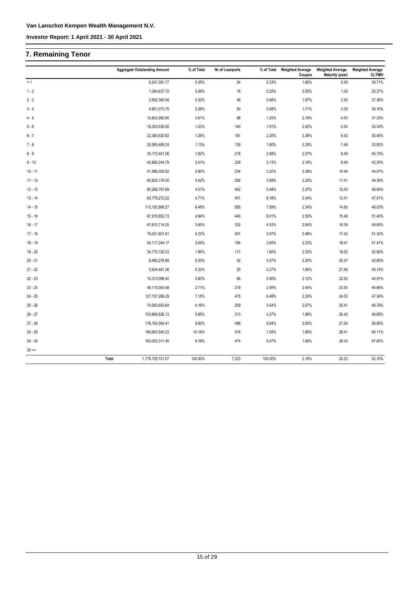## **7. Remaining Tenor**

|           | <b>Aggregate Outstanding Amount</b> | % of Total | Nr of Loanparts | % of Total | <b>Weighted Average</b><br>Coupon | <b>Weighted Average</b><br>Maturity (year) | <b>Weighted Average</b><br><b>CLTIMV</b> |
|-----------|-------------------------------------|------------|-----------------|------------|-----------------------------------|--------------------------------------------|------------------------------------------|
| < 1       | 6,247,391.77                        | 0.35%      | 24              | 0.33%      | 1.85%                             | 0.45                                       | 39.71%                                   |
| $1 - 2$   | 1,384,637.72                        | 0.08%      | 18              | 0.25%      | 2.05%                             | 1.43                                       | 25.37%                                   |
| $2 - 3$   | 3,592,360.58                        | 0.20%      | 48              | 0.66%      | 1.97%                             | 2.55                                       | 27.38%                                   |
| $3 - 4$   | 4,901,073.75                        | 0.28%      | $50\,$          | 0.68%      | 1.71%                             | 3.35                                       | 30.16%                                   |
| $4 - 5$   | 10,803,982.85                       | 0.61%      | 88              | 1.20%      | 2.19%                             | 4.53                                       | 31.33%                                   |
| $5 - 6$   | 18,353,530.92                       | 1.03%      | 140             | 1.91%      | 2.42%                             | 5.54                                       | 33.34%                                   |
| $6 - 7$   | 22,365,632.62                       | 1.26%      | 161             | 2.20%      | 2.38%                             | 6.42                                       | 30.45%                                   |
| $7 - 8$   | 20,065,489.24                       | 1.13%      | 139             | 1.90%      | 2.28%                             | 7.48                                       | 33.92%                                   |
| $8 - 9$   | 34,172,401.06                       | 1.92%      | 218             | 2.98%      | 2.27%                             | 8.49                                       | 40.15%                                   |
| $9 - 10$  | 42,880,244.79                       | 2.41%      | 229             | 3.13%      | 2.18%                             | 9.49                                       | 42.35%                                   |
| $10 - 11$ | 51,586,355.92                       | 2.90%      | 234             | 3.20%      | 2.38%                             | 10.49                                      | 44.07%                                   |
| $11 - 12$ | 60,825,179.30                       | 3.42%      | 292             | 3.99%      | 2.25%                             | 11.41                                      | 48.38%                                   |
| $12 - 13$ | 80,288,791.89                       | 4.51%      | 402             | 5.49%      | 2.37%                             | 12.53                                      | 48.84%                                   |
| $13 - 14$ | 83,778,272.22                       | 4.71%      | 451             | 6.16%      | 2.44%                             | 13.41                                      | 47.51%                                   |
| $14 - 15$ | 115, 193, 906. 27                   | 6.48%      | 585             | 7.99%      | 2.34%                             | 14.50                                      | 48.03%                                   |
| $15 - 16$ | 87,919,852.73                       | 4.94%      | 440             | 6.01%      | 2.55%                             | 15.48                                      | 51.40%                                   |
| $16 - 17$ | 67,670,714.25                       | 3.80%      | 332             | 4.53%      | 2.64%                             | 16.39                                      | 49.65%                                   |
| $17 - 18$ | 75,021,601.81                       | 4.22%      | 291             | 3.97%      | 2.48%                             | 17.42                                      | 51.32%                                   |
| $18 - 19$ | 54, 117, 244. 17                    | 3.04%      | 194             | 2.65%      | 2.23%                             | 18.41                                      | 51.41%                                   |
| $19 - 20$ | 34,770,120.33                       | 1.95%      | 117             | 1.60%      | 2.32%                             | 19.52                                      | 52.92%                                   |
| $20 - 21$ | 9,480,278.99                        | 0.53%      | 42              | 0.57%      | 2.20%                             | 20.37                                      | 42.85%                                   |
| $21 - 22$ | 5,934,481.36                        | 0.33%      | $20\,$          | 0.27%      | 1.94%                             | 21.46                                      | 45.14%                                   |
| $22 - 23$ | 14,313,096.40                       | 0.80%      | 66              | 0.90%      | 2.12%                             | 22.52                                      | 44.91%                                   |
| $23 - 24$ | 48,115,083.48                       | 2.71%      | 219             | 2.99%      | 2.44%                             | 23.55                                      | 46.68%                                   |
| $24 - 25$ | 127, 157, 266. 29                   | 7.15%      | 475             | 6.49%      | 2.24%                             | 24.53                                      | 47.34%                                   |
| $25 - 26$ | 74,000,653.64                       | 4.16%      | 259             | 3.54%      | 2.07%                             | 25.41                                      | 48.78%                                   |
| $26 - 27$ | 103,969,826.13                      | 5.85%      | 313             | 4.27%      | 1.98%                             | 26.42                                      | 48.68%                                   |
| $27 - 28$ | 176, 154, 394.41                    | 9.90%      | 486             | 6.64%      | 2.00%                             | 27.54                                      | 59.95%                                   |
| $28 - 29$ | 180,663,545.23                      | 10.16%     | 516             | 7.05%      | 1.89%                             | 28.41                                      | 65.11%                                   |
| $29 - 30$ | 163,002,311.45                      | 9.16%      | 474             | 6.47%      | 1.68%                             | 29.43                                      | 67.82%                                   |
| $30 >=$   |                                     |            |                 |            |                                   |                                            |                                          |
|           | 1,778,729,721.57<br>Total           | 100.00%    | 7,323           | 100.00%    | 2.18%                             | 20.22                                      | 52.10%                                   |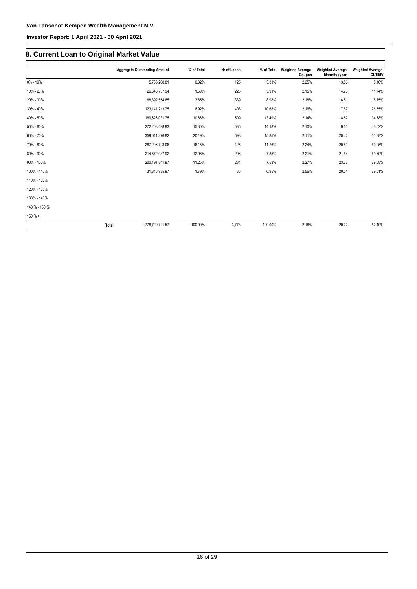**Investor Report: 1 April 2021 - 30 April 2021**

## **8. Current Loan to Original Market Value**

|               | <b>Aggregate Outstanding Amount</b> | % of Total | Nr of Loans | % of Total | <b>Weighted Average</b><br>Coupon | <b>Weighted Average</b><br>Maturity (year) | <b>Weighted Average</b><br><b>CLTIMV</b> |
|---------------|-------------------------------------|------------|-------------|------------|-----------------------------------|--------------------------------------------|------------------------------------------|
| $0\% - 10\%$  | 5,766,268.81                        | 0.32%      | 125         | 3.31%      | 2.25%                             | 13.56                                      | 5.16%                                    |
| 10% - 20%     | 26,646,737.94                       | 1.50%      | 223         | 5.91%      | 2.15%                             | 14.76                                      | 11.74%                                   |
| 20% - 30%     | 68,392,554.65                       | 3.85%      | 339         | 8.98%      | 2.18%                             | 16.81                                      | 18.75%                                   |
| 30% - 40%     | 123, 141, 213. 75                   | 6.92%      | 403         | 10.68%     | 2.16%                             | 17.87                                      | 26.55%                                   |
| 40% - 50%     | 189,626,031.75                      | 10.66%     | 509         | 13.49%     | 2.14%                             | 18.82                                      | 34.58%                                   |
| 50% - 60%     | 272,208,498.93                      | 15.30%     | 535         | 14.18%     | 2.10%                             | 19.50                                      | 43.62%                                   |
| 60% - 70%     | 359,041,376.82                      | 20.19%     | 598         | 15.85%     | 2.11%                             | 20.42                                      | 51.88%                                   |
| 70% - 80%     | 287,296,723.06                      | 16.15%     | 425         | 11.26%     | 2.24%                             | 20.81                                      | 60.25%                                   |
| 80% - 90%     | 214,572,037.92                      | 12.06%     | 296         | 7.85%      | 2.21%                             | 21.64                                      | 69.70%                                   |
| 90% - 100%    | 200, 191, 341. 97                   | 11.25%     | 284         | 7.53%      | 2.27%                             | 23.33                                      | 79.58%                                   |
| 100% - 110%   | 31,846,935.97                       | 1.79%      | 36          | 0.95%      | 2.56%                             | 20.04                                      | 79.01%                                   |
| 110% - 120%   |                                     |            |             |            |                                   |                                            |                                          |
| 120% - 130%   |                                     |            |             |            |                                   |                                            |                                          |
| 130% - 140%   |                                     |            |             |            |                                   |                                            |                                          |
| 140 % - 150 % |                                     |            |             |            |                                   |                                            |                                          |
| $150 \%$ >    |                                     |            |             |            |                                   |                                            |                                          |
|               | Total<br>1.778.729.721.57           | 100.00%    | 3.773       | 100.00%    | 2.18%                             | 20.22                                      | 52.10%                                   |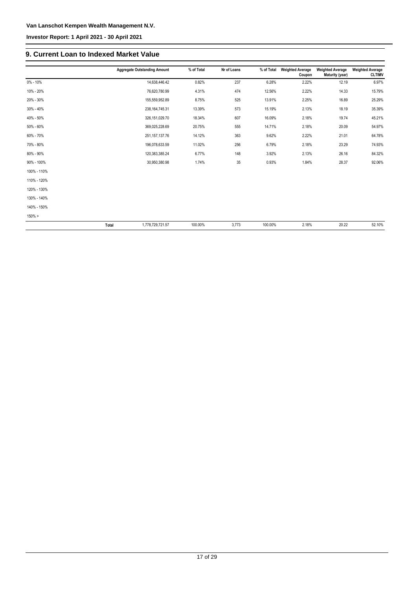**Investor Report: 1 April 2021 - 30 April 2021**

#### **9. Current Loan to Indexed Market Value**

|             | <b>Aggregate Outstanding Amount</b> | % of Total | Nr of Loans | % of Total | <b>Weighted Average</b><br>Coupon | <b>Weighted Average</b><br>Maturity (year) | <b>Weighted Average</b><br><b>CLTIMV</b> |
|-------------|-------------------------------------|------------|-------------|------------|-----------------------------------|--------------------------------------------|------------------------------------------|
| 0% - 10%    | 14,638,446.42                       | 0.82%      | 237         | 6.28%      | 2.22%                             | 12.19                                      | 6.97%                                    |
| 10% - 20%   | 76,620,780.99                       | 4.31%      | 474         | 12.56%     | 2.22%                             | 14.33                                      | 15.79%                                   |
| 20% - 30%   | 155,559,952.89                      | 8.75%      | 525         | 13.91%     | 2.25%                             | 16.89                                      | 25.29%                                   |
| 30% - 40%   | 238, 164, 745. 31                   | 13.39%     | 573         | 15.19%     | 2.13%                             | 18.19                                      | 35.39%                                   |
| 40% - 50%   | 326, 151, 029.70                    | 18.34%     | 607         | 16.09%     | 2.18%                             | 19.74                                      | 45.21%                                   |
| 50% - 60%   | 369,025,228.69                      | 20.75%     | 555         | 14.71%     | 2.18%                             | 20.09                                      | 54.97%                                   |
| 60% - 70%   | 251, 157, 137. 76                   | 14.12%     | 363         | 9.62%      | 2.22%                             | 21.01                                      | 64.78%                                   |
| 70% - 80%   | 196,078,633.59                      | 11.02%     | 256         | 6.79%      | 2.18%                             | 23.29                                      | 74.93%                                   |
| 80% - 90%   | 120,383,385.24                      | 6.77%      | 148         | 3.92%      | 2.13%                             | 26.16                                      | 84.32%                                   |
| 90% - 100%  | 30,950,380.98                       | 1.74%      | 35          | 0.93%      | 1.84%                             | 28.37                                      | 92.06%                                   |
| 100% - 110% |                                     |            |             |            |                                   |                                            |                                          |
| 110% - 120% |                                     |            |             |            |                                   |                                            |                                          |
| 120% - 130% |                                     |            |             |            |                                   |                                            |                                          |
| 130% - 140% |                                     |            |             |            |                                   |                                            |                                          |
| 140% - 150% |                                     |            |             |            |                                   |                                            |                                          |
| 150% >      |                                     |            |             |            |                                   |                                            |                                          |
|             | Total<br>1,778,729,721.57           | 100.00%    | 3,773       | 100.00%    | 2.18%                             | 20.22                                      | 52.10%                                   |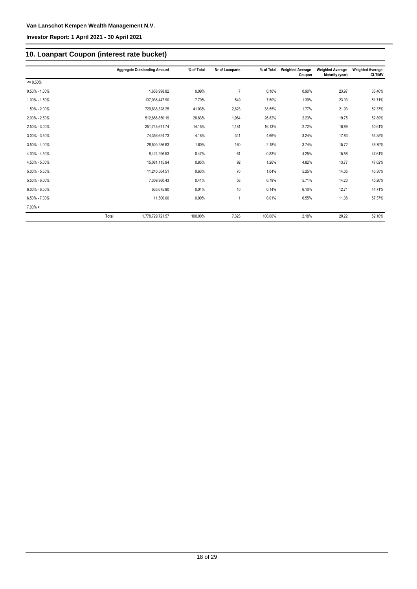## **10. Loanpart Coupon (interest rate bucket)**

|                   |              | <b>Aggregate Outstanding Amount</b> | % of Total | Nr of Loanparts | % of Total | <b>Weighted Average</b><br>Coupon | <b>Weighted Average</b><br>Maturity (year) | <b>Weighted Average</b><br><b>CLTIMV</b> |
|-------------------|--------------|-------------------------------------|------------|-----------------|------------|-----------------------------------|--------------------------------------------|------------------------------------------|
| $= 0.50%$         |              |                                     |            |                 |            |                                   |                                            |                                          |
| $0.50\% - 1.00\%$ |              | 1,658,998.82                        | 0.09%      | $\overline{7}$  | 0.10%      | 0.90%                             | 23.97                                      | 35.46%                                   |
| 1.00% - 1.50%     |              | 137,036,447.90                      | 7.70%      | 549             | 7.50%      | 1.39%                             | 23.03                                      | 51.71%                                   |
| 1.50% - 2.00%     |              | 729,838,328.25                      | 41.03%     | 2,823           | 38.55%     | 1.77%                             | 21.93                                      | 52.37%                                   |
| 2.00% - 2.50%     |              | 512,886,850.19                      | 28.83%     | 1,964           | 26.82%     | 2.23%                             | 19.75                                      | 52.89%                                   |
| 2.50% - 3.00%     |              | 251,748,671.74                      | 14.15%     | 1,181           | 16.13%     | 2.72%                             | 16.89                                      | 50.61%                                   |
| $3.00\% - 3.50\%$ |              | 74,356,624.73                       | 4.18%      | 341             | 4.66%      | 3.24%                             | 17.83                                      | 54.35%                                   |
| $3.50\% - 4.00\%$ |              | 28,500,286.63                       | 1.60%      | 160             | 2.18%      | 3.74%                             | 15.72                                      | 48.70%                                   |
| 4.00% - 4.50%     |              | 8,424,296.53                        | 0.47%      | 61              | 0.83%      | 4.25%                             | 15.58                                      | 47.61%                                   |
| 4.50% - 5.00%     |              | 15,081,115.94                       | 0.85%      | 92              | 1.26%      | 4.82%                             | 13.77                                      | 47.62%                                   |
| $5.00\% - 5.50\%$ |              | 11,240,564.51                       | 0.63%      | 76              | 1.04%      | 5.25%                             | 14.05                                      | 46.30%                                   |
| $5.50\% - 6.00\%$ |              | 7,309,360.43                        | 0.41%      | 58              | 0.79%      | 5.71%                             | 14.20                                      | 45.26%                                   |
| $6.00\% - 6.50\%$ |              | 636,675.90                          | 0.04%      | 10              | 0.14%      | 6.10%                             | 12.71                                      | 44.71%                                   |
| $6.50\% - 7.00\%$ |              | 11,500.00                           | $0.00\%$   | 1               | 0.01%      | 6.55%                             | 11.08                                      | 57.37%                                   |
| $7.00\% >$        |              |                                     |            |                 |            |                                   |                                            |                                          |
|                   | <b>Total</b> | 1,778,729,721.57                    | 100.00%    | 7,323           | 100.00%    | 2.18%                             | 20.22                                      | 52.10%                                   |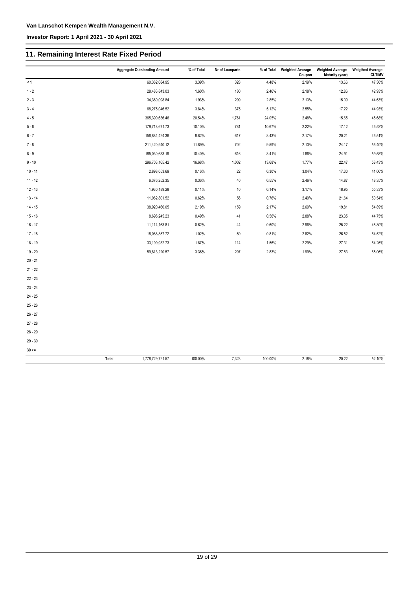## **11. Remaining Interest Rate Fixed Period**

|           | <b>Aggregate Outstanding Amount</b> |                  | % of Total | Nr of Loanparts | % of Total | <b>Weighted Avarage</b><br>Coupon | <b>Weighted Average</b><br><b>Maturity (year)</b> | <b>Weigthed Average</b><br><b>CLTIMV</b> |
|-----------|-------------------------------------|------------------|------------|-----------------|------------|-----------------------------------|---------------------------------------------------|------------------------------------------|
| < 1       |                                     | 60,362,084.95    | 3.39%      | 328             | 4.48%      | 2.19%                             | 13.66                                             | 47.30%                                   |
| $1 - 2$   |                                     | 28,483,843.03    | 1.60%      | 180             | 2.46%      | 2.18%                             | 12.86                                             | 42.93%                                   |
| $2 - 3$   |                                     | 34,360,098.84    | 1.93%      | 209             | 2.85%      | 2.13%                             | 15.09                                             | 44.63%                                   |
| $3 - 4$   |                                     | 68,275,046.52    | 3.84%      | 375             | 5.12%      | 2.55%                             | 17.22                                             | 44.93%                                   |
| $4 - 5$   |                                     | 365,390,636.46   | 20.54%     | 1,761           | 24.05%     | 2.48%                             | 15.65                                             | 45.68%                                   |
| $5 - 6$   |                                     | 179,718,671.73   | 10.10%     | 781             | 10.67%     | 2.22%                             | 17.12                                             | 46.52%                                   |
| $6 - 7$   |                                     | 156,884,424.36   | 8.82%      | 617             | 8.43%      | 2.17%                             | 20.21                                             | 46.51%                                   |
| $7 - 8$   |                                     | 211,420,940.12   | 11.89%     | 702             | 9.59%      | 2.13%                             | 24.17                                             | 56.40%                                   |
| $8 - 9$   |                                     | 185,030,633.19   | 10.40%     | 616             | 8.41%      | 1.86%                             | 24.91                                             | 59.58%                                   |
| $9 - 10$  |                                     | 296,703,165.42   | 16.68%     | 1,002           | 13.68%     | 1.77%                             | 22.47                                             | 58.43%                                   |
| $10 - 11$ |                                     | 2,898,053.69     | 0.16%      | 22              | 0.30%      | 3.04%                             | 17.30                                             | 41.06%                                   |
| $11 - 12$ |                                     | 6,376,252.35     | 0.36%      | 40              | 0.55%      | 2.46%                             | 14.87                                             | 48.35%                                   |
| $12 - 13$ |                                     | 1,930,189.28     | 0.11%      | $10$            | 0.14%      | 3.17%                             | 18.95                                             | 55.33%                                   |
| $13 - 14$ |                                     | 11,062,801.52    | 0.62%      | 56              | 0.76%      | 2.49%                             | 21.64                                             | 50.54%                                   |
| $14 - 15$ |                                     | 38,920,460.05    | 2.19%      | 159             | 2.17%      | 2.69%                             | 19.81                                             | 54.89%                                   |
| $15 - 16$ |                                     | 8,696,245.23     | 0.49%      | 41              | 0.56%      | 2.88%                             | 23.35                                             | 44.75%                                   |
| $16 - 17$ |                                     | 11,114,163.81    | 0.62%      | 44              | 0.60%      | 2.96%                             | 25.22                                             | 48.80%                                   |
| $17 - 18$ |                                     | 18,088,857.72    | 1.02%      | 59              | 0.81%      | 2.82%                             | 26.52                                             | 64.52%                                   |
| $18 - 19$ |                                     | 33,199,932.73    | 1.87%      | 114             | 1.56%      | 2.29%                             | 27.31                                             | 64.26%                                   |
| $19 - 20$ |                                     | 59,813,220.57    | 3.36%      | 207             | 2.83%      | 1.99%                             | 27.83                                             | 65.06%                                   |
| $20 - 21$ |                                     |                  |            |                 |            |                                   |                                                   |                                          |
| $21 - 22$ |                                     |                  |            |                 |            |                                   |                                                   |                                          |
| $22 - 23$ |                                     |                  |            |                 |            |                                   |                                                   |                                          |
| $23 - 24$ |                                     |                  |            |                 |            |                                   |                                                   |                                          |
| $24 - 25$ |                                     |                  |            |                 |            |                                   |                                                   |                                          |
| $25 - 26$ |                                     |                  |            |                 |            |                                   |                                                   |                                          |
| $26 - 27$ |                                     |                  |            |                 |            |                                   |                                                   |                                          |
| $27 - 28$ |                                     |                  |            |                 |            |                                   |                                                   |                                          |
| $28 - 29$ |                                     |                  |            |                 |            |                                   |                                                   |                                          |
| $29 - 30$ |                                     |                  |            |                 |            |                                   |                                                   |                                          |
| $30 > =$  |                                     |                  |            |                 |            |                                   |                                                   |                                          |
|           | <b>Total</b>                        | 1,778,729,721.57 | 100.00%    | 7,323           | 100.00%    | 2.18%                             | 20.22                                             | 52.10%                                   |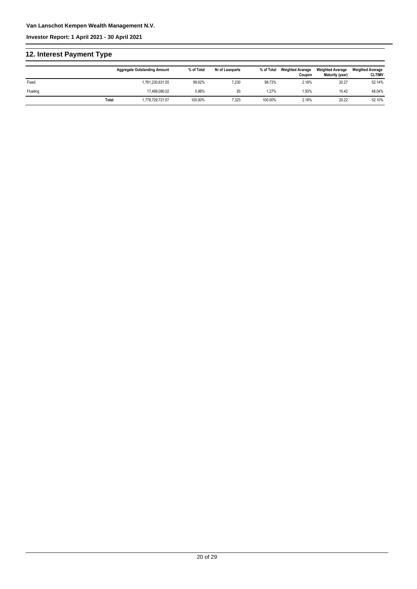**Investor Report: 1 April 2021 - 30 April 2021**

## **12. Interest Payment Type**

|          |       | <b>Aggregate Outstanding Amount</b> | % of Total | Nr of Loanparts | % of Total | <b>Weighted Avarage</b><br>Coupon | <b>Weighted Average</b><br>Maturity (year) | <b>Weigthed Average</b><br><b>CLTIMV</b> |
|----------|-------|-------------------------------------|------------|-----------------|------------|-----------------------------------|--------------------------------------------|------------------------------------------|
| Fixed    |       | 1.761.230.631.55                    | 99.02%     | 7,230           | 98.73%     | 2.18%                             | 20.27                                      | 52.14%                                   |
| Floating |       | 17,499,090.02                       | 0.98%      | 93              | .27%       | 1.93%                             | 15.42                                      | 48.04%                                   |
|          | Total | 1,778,729,721.57                    | 100.00%    | 7,323           | 100.00%    | 2.18%                             | 20.22                                      | 52.10%                                   |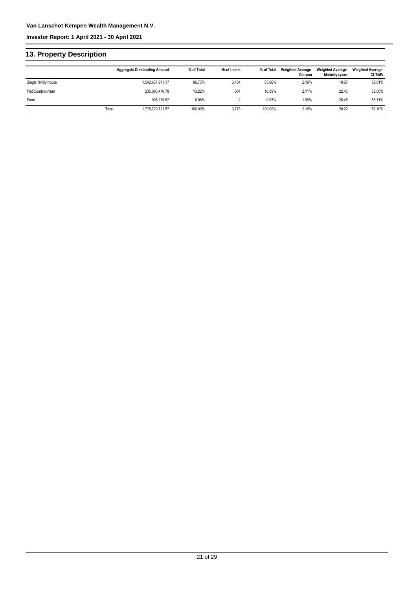**Investor Report: 1 April 2021 - 30 April 2021**

## **13. Property Description**

|                     |       | <b>Aggregate Outstanding Amount</b> | % of Total | Nr of Loans | % of Total | <b>Weighted Avarage</b><br>Coupon | <b>Weighted Average</b><br>Maturity (year) | <b>Weigthed Average</b><br><b>CLTIMV</b> |
|---------------------|-------|-------------------------------------|------------|-------------|------------|-----------------------------------|--------------------------------------------|------------------------------------------|
| Single family house |       | 1,542,637,971.17                    | 86.73%     | 3,164       | 83.86%     | 2.19%                             | 19.87                                      | 52.01%                                   |
| Flat/Condominium    |       | 235.095.470.78                      | 13.22%     | 607         | 16.09%     | 2.11%                             | 22.45                                      | 52.60%                                   |
| Farm                |       | 996.279.62                          | 0.06%      |             | 0.05%      | 1.96%                             | 28.45                                      | 58.71%                                   |
|                     | Total | 1,778,729,721.57                    | 100.00%    | 3,773       | 100.00%    | 2.18%                             | 20.22                                      | 52.10%                                   |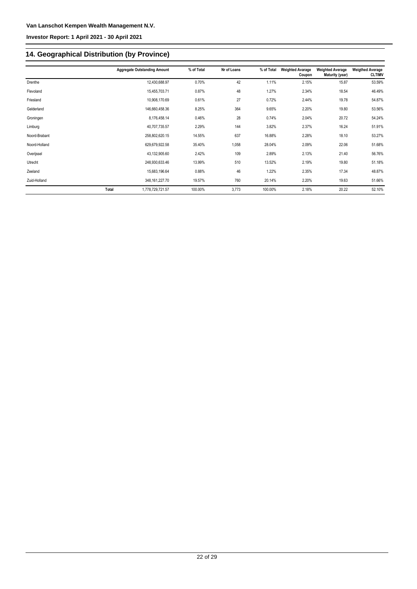## **14. Geographical Distribution (by Province)**

|               |       | <b>Aggregate Outstanding Amount</b> | % of Total | Nr of Loans | % of Total | <b>Weighted Avarage</b><br>Coupon | <b>Weighted Average</b><br>Maturity (year) | <b>Weigthed Average</b><br><b>CLTIMV</b> |
|---------------|-------|-------------------------------------|------------|-------------|------------|-----------------------------------|--------------------------------------------|------------------------------------------|
| Drenthe       |       | 12,430,688.97                       | 0.70%      | 42          | 1.11%      | 2.15%                             | 15.87                                      | 53.59%                                   |
| Flevoland     |       | 15,455,703.71                       | 0.87%      | 48          | 1.27%      | 2.34%                             | 18.54                                      | 46.49%                                   |
| Friesland     |       | 10,908,170.69                       | 0.61%      | 27          | 0.72%      | 2.44%                             | 19.78                                      | 54.87%                                   |
| Gelderland    |       | 146,660,458.36                      | 8.25%      | 364         | 9.65%      | 2.20%                             | 19.80                                      | 53.56%                                   |
| Groningen     |       | 8,176,458.14                        | 0.46%      | 28          | 0.74%      | 2.04%                             | 20.72                                      | 54.24%                                   |
| Limburg       |       | 40,707,735.57                       | 2.29%      | 144         | 3.82%      | 2.37%                             | 16.24                                      | 51.91%                                   |
| Noord-Brabant |       | 258,802,620.15                      | 14.55%     | 637         | 16.88%     | 2.28%                             | 18.10                                      | 53.27%                                   |
| Noord-Holland |       | 629,679,922.58                      | 35.40%     | 1,058       | 28.04%     | 2.09%                             | 22.06                                      | 51.68%                                   |
| Overijssel    |       | 43,132,905.60                       | 2.42%      | 109         | 2.89%      | 2.13%                             | 21.40                                      | 56.76%                                   |
| Utrecht       |       | 248,930,633.46                      | 13.99%     | 510         | 13.52%     | 2.19%                             | 19.80                                      | 51.18%                                   |
| Zeeland       |       | 15,683,196.64                       | 0.88%      | 46          | 1.22%      | 2.35%                             | 17.34                                      | 48.87%                                   |
| Zuid-Holland  |       | 348, 161, 227. 70                   | 19.57%     | 760         | 20.14%     | 2.20%                             | 19.63                                      | 51.66%                                   |
|               | Total | 1,778,729,721.57                    | 100.00%    | 3,773       | 100.00%    | 2.18%                             | 20.22                                      | 52.10%                                   |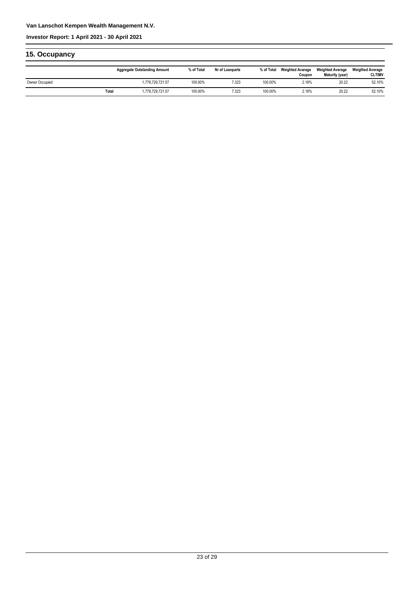#### **Investor Report: 1 April 2021 - 30 April 2021**

| 15. Occupancy  |       |                                     |            |                 |            |                                   |                                            |                                          |
|----------------|-------|-------------------------------------|------------|-----------------|------------|-----------------------------------|--------------------------------------------|------------------------------------------|
|                |       | <b>Aggregate Outstanding Amount</b> | % of Total | Nr of Loanparts | % of Total | <b>Weighted Avarage</b><br>Coupon | <b>Weighted Average</b><br>Maturity (year) | <b>Weigthed Average</b><br><b>CLTIMV</b> |
| Owner Occupied |       | 1,778,729,721.57                    | 100.00%    | 7,323           | 100.00%    | 2.18%                             | 20.22                                      | 52.10%                                   |
|                | Total | 1,778,729,721.57                    | 100.00%    | 7,323           | 100.00%    | 2.18%                             | 20.22                                      | 52.10%                                   |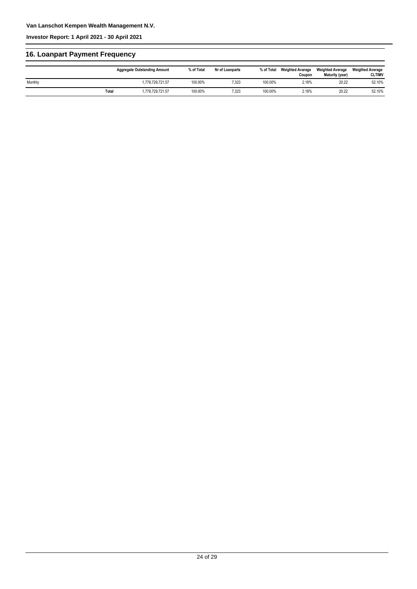## **16. Loanpart Payment Frequency**

|         |              | <b>Aggregate Outstanding Amount</b> | % of Total | Nr of Loanparts | % of Total | <b>Weighted Avarage</b><br>Coupon | <b>Weighted Average</b><br>Maturity (year) | <b>Weigthed Average</b><br><b>CLTIMV</b> |
|---------|--------------|-------------------------------------|------------|-----------------|------------|-----------------------------------|--------------------------------------------|------------------------------------------|
| Monthly |              | 1.778.729.721.57                    | 100.00%    | 7,323           | 100.00%    | 2.18%                             | 20.22                                      | 52.10%                                   |
|         | <b>Total</b> | 1.778.729.721.57                    | 100.00%    | 7,323           | 100.00%    | 2.18%                             | 20.22                                      | 52.10%                                   |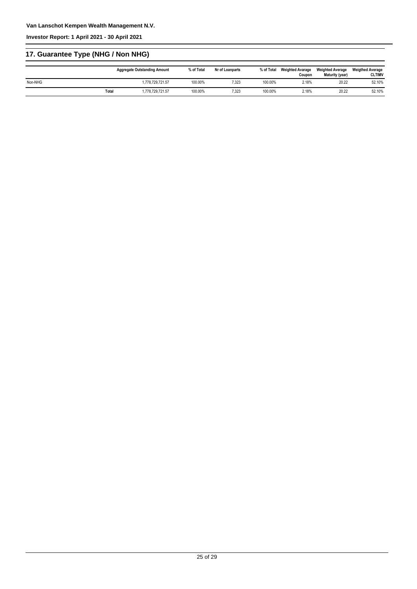**Investor Report: 1 April 2021 - 30 April 2021**

## **17. Guarantee Type (NHG / Non NHG)**

|         |       | <b>Aggregate Outstanding Amount</b> | % of Total | Nr of Loanparts | % of Total | <b>Weighted Avarage</b><br>Coupon | <b>Weighted Average</b><br>Maturity (year) | <b>Weigthed Average</b><br><b>CLTIMV</b> |
|---------|-------|-------------------------------------|------------|-----------------|------------|-----------------------------------|--------------------------------------------|------------------------------------------|
| Non-NHG |       | 1.778.729.721.57                    | 100.00%    | 7,323           | 100.00%    | 2.18%                             | 20.22                                      | 52.10%                                   |
|         | Total | 1.778.729.721.57                    | 100.00%    | 7.323           | 100.00%    | 2.18%                             | 20.22                                      | 52.10%                                   |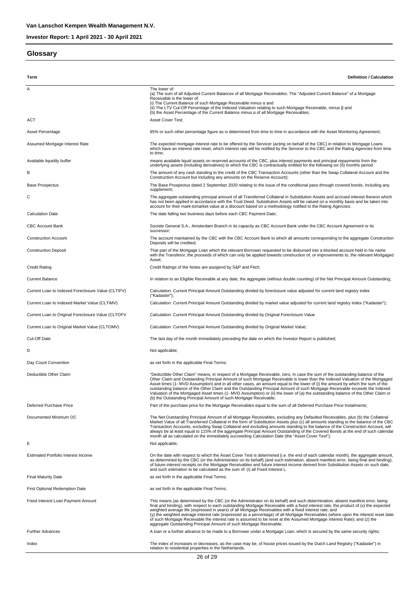### **Glossary**

| Term                                               | <b>Definition / Calculation</b>                                                                                                                                                                                                                                                                                                                                                                                                                                                                                                                                                                                                                                                                                                          |
|----------------------------------------------------|------------------------------------------------------------------------------------------------------------------------------------------------------------------------------------------------------------------------------------------------------------------------------------------------------------------------------------------------------------------------------------------------------------------------------------------------------------------------------------------------------------------------------------------------------------------------------------------------------------------------------------------------------------------------------------------------------------------------------------------|
| Α                                                  | The lower of:<br>(a) The sum of all Adjusted Current Balances of all Mortgage Receivables. The "Adjusted Current Balance" of a Mortgage<br>Receivable is the lower of:<br>(i) The Current Balance of such Mortgage Receivable minus α and<br>(ii) The LTV Cut-Off Percentage of the Indexed Valuation relating to such Mortgage Receivable, minus β and<br>(b) the Asset Percentage of the Current Balance minus $\alpha$ of all Mortgage Receivables;                                                                                                                                                                                                                                                                                   |
| ACT                                                | Asset Cover Test;                                                                                                                                                                                                                                                                                                                                                                                                                                                                                                                                                                                                                                                                                                                        |
| Asset Percentage                                   | 95% or such other percentage figure as is determined from time to time in accordance with the Asset Monitoring Agreement;                                                                                                                                                                                                                                                                                                                                                                                                                                                                                                                                                                                                                |
| Assumed Mortgage Interest Rate                     | The expected mortgage interest rate to be offered by the Servicer (acting on behalf of the CBC) in relation to Mortgage Loans<br>which have an interest rate reset, which interest rate will be notified by the Servicer to the CBC and the Rating Agencies from time<br>to time;                                                                                                                                                                                                                                                                                                                                                                                                                                                        |
| Available liquidity buffer                         | means available liquid assets on reserved accounts of the CBC, plus interest payments and principal repayments from the<br>underlying assets (including derivatives) to which the CBC is contractually entitled for the following six (6) months period                                                                                                                                                                                                                                                                                                                                                                                                                                                                                  |
| В                                                  | The amount of any cash standing to the credit of the CBC Transaction Accounts (other than the Swap Collateral Account and the<br>Construction Account but including any amounts on the Reserve Account);                                                                                                                                                                                                                                                                                                                                                                                                                                                                                                                                 |
| <b>Base Prospectus</b>                             | The Base Prospectus dated 2 September 2020 relating to the issue of the conditional pass-through covered bonds, including any<br>supplement;                                                                                                                                                                                                                                                                                                                                                                                                                                                                                                                                                                                             |
| C                                                  | The aggregate outstanding principal amount of all Transferred Collateral in Substitution Assets and accrued interest thereon which<br>has not been applied in accordance with the Trust Deed. Substitution Assets will be valued on a monthly basis and be taken into<br>account for their mark-tomarket value at a discount based on a methodology notified to the Rating Agencies;                                                                                                                                                                                                                                                                                                                                                     |
| <b>Calculation Date</b>                            | The date falling two business days before each CBC Payment Date;                                                                                                                                                                                                                                                                                                                                                                                                                                                                                                                                                                                                                                                                         |
| <b>CBC Account Bank</b>                            | Societe General S.A., Amsterdam Branch in its capacity as CBC Account Bank under the CBC Account Agreement or its<br>successor;                                                                                                                                                                                                                                                                                                                                                                                                                                                                                                                                                                                                          |
| <b>Construction Account</b>                        | The account maintained by the CBC with the CBC Account Bank to which all amounts corresponding to the aggregate Construction<br>Deposits will be credited;                                                                                                                                                                                                                                                                                                                                                                                                                                                                                                                                                                               |
| <b>Construction Deposit</b>                        | That part of the Mortgage Loan which the relevant Borrower requested to be disbursed into a blocked account held in his name<br>with the Transferor, the proceeds of which can only be applied towards construction of, or improvements to, the relevant Mortgaged<br>Asset:                                                                                                                                                                                                                                                                                                                                                                                                                                                             |
| <b>Credit Rating</b>                               | Credit Ratings of the Notes are assigend by S&P and Fitch;                                                                                                                                                                                                                                                                                                                                                                                                                                                                                                                                                                                                                                                                               |
| <b>Current Balance</b>                             | In relation to an Eligible Receivable at any date, the aggregate (without double counting) of the Net Principal Amount Outstanding;                                                                                                                                                                                                                                                                                                                                                                                                                                                                                                                                                                                                      |
| Current Loan to Indexed Foreclosure Value (CLTIFV) | Calculation: Current Principal Amount Outstanding divided by foreclosure value adjusted for current land registry index<br>("Kadaster");                                                                                                                                                                                                                                                                                                                                                                                                                                                                                                                                                                                                 |
| Current Loan to Indexed Market Value (CLTIMV)      | Calculation: Current Principal Amount Outstanding divided by market value adjusted for current land registry index ("Kadaster");                                                                                                                                                                                                                                                                                                                                                                                                                                                                                                                                                                                                         |
| Current Loan to Original Foreclosure Value (CLTOFV | Calculation: Current Principal Amount Outstanding divided by Original Foreclosure Value                                                                                                                                                                                                                                                                                                                                                                                                                                                                                                                                                                                                                                                  |
| Current Loan to Original Market Value (CLTOMV)     | Calculation: Current Principal Amount Outstanding divided by Original Market Value;                                                                                                                                                                                                                                                                                                                                                                                                                                                                                                                                                                                                                                                      |
| Cut-Off Date                                       | The last day of the month immediately preceding the date on which the Investor Report is published;                                                                                                                                                                                                                                                                                                                                                                                                                                                                                                                                                                                                                                      |
| D                                                  | Not applicable;                                                                                                                                                                                                                                                                                                                                                                                                                                                                                                                                                                                                                                                                                                                          |
| Day Count Convention                               | as set forth in the applicable Final Terms;                                                                                                                                                                                                                                                                                                                                                                                                                                                                                                                                                                                                                                                                                              |
| Deductible Other Claim                             | "Deductible Other Claim" means, in respect of a Mortgage Receivable, zero, in case the sum of the outstanding balance of the<br>Other Claim and Outstanding Principal Amount of such Mortgage Receivable is lower than the Indexed Valuation of the Mortgaged<br>Asset times (1- MVD Assumption) and in all other cases, an amount equal to the lower of (i) the amount by which the sum of the<br>outstanding balance of the Other Claim and the Outstanding Principal Amount of such Mortgage Receivable exceeds the Indexed<br>Valuation of the Mortgaged Asset times (1- MVD Assumption) or (ii) the lower of (a) the outstanding balance of the Other Claim or<br>(b) the Outstanding Principal Amount of such Mortgage Receivable; |
| <b>Deferred Purchase Price</b>                     | Part of the purchase price for the Mortgage Receivables equal to the sum of all Deferred Purchase Price Instalments;                                                                                                                                                                                                                                                                                                                                                                                                                                                                                                                                                                                                                     |
| Documented Minimum OC                              | The Net Outstanding Principal Amount of all Mortgage Receivables, excluding any Defaulted Receivables, plus (b) the Collateral<br>Market Value of all Transferred Collateral in the form of Substitution Assets plus (c) all amounts standing to the balance of the CBC<br>Transaction Accounts, excluding Swap Collateral and excluding amounts standing to the balance of the Construction Account, will<br>always be at least equal to 115% of the aggregate Principal Amount Outstanding of the Covered Bonds at the end of such calendar<br>month all as calculated on the immediately succeeding Calculation Date (the "Asset Cover Test");                                                                                        |
| Е                                                  | Not applicable;                                                                                                                                                                                                                                                                                                                                                                                                                                                                                                                                                                                                                                                                                                                          |
| Estimated Portfolio Interest Income                | On the date with respect to which the Asset Cover Test is determined (i.e. the end of each calendar month), the aggregate amount,<br>as determined by the CBC (or the Administrator on its behalf) (and such estimation, absent manifest error, being final and binding),<br>of future interest receipts on the Mortgage Receivables and future interest income derived from Substitution Assets on such date,<br>and such estimation to be calculated as the sum of: (i) all Fixed Interest L                                                                                                                                                                                                                                           |
| <b>Final Maturity Date</b>                         | as set forth in the applicable Final Terms;                                                                                                                                                                                                                                                                                                                                                                                                                                                                                                                                                                                                                                                                                              |
| First Optional Redemption Date                     | as set forth in the applicable Final Terms;                                                                                                                                                                                                                                                                                                                                                                                                                                                                                                                                                                                                                                                                                              |
| Fixed Interest Loan Payment Amount                 | This means (as determined by the CBC (or the Administrator on its behalf) and such determination, absent manifest error, being<br>final and binding), with respect to each outstanding Mortgage Receivable with a fixed interest rate, the product of (x) the expected<br>weighted average life (expressed in years) of all Mortgage Receivables with a fixed interest rate; and<br>(y) the weighted average interest rate (expressed as a percentage) of all Mortgage Receivables (where upon the interest reset date<br>of such Mortgage Receivable the interest rate is assumed to be reset at the Assumed Mortgage Interest Rate); and (z) the<br>aggregate Outstanding Principal Amount of such Mortgage Receivable;                |
| <b>Further Advances</b>                            | A loan or a further advance to be made to a Borrower under a Mortgage Loan, which is secured by the same security rights;                                                                                                                                                                                                                                                                                                                                                                                                                                                                                                                                                                                                                |
| Index                                              | The index of increases or decreases, as the case may be, of house prices issued by the Dutch Land Registry ("Kadaster") in<br>relation to residential properties in the Netherlands.                                                                                                                                                                                                                                                                                                                                                                                                                                                                                                                                                     |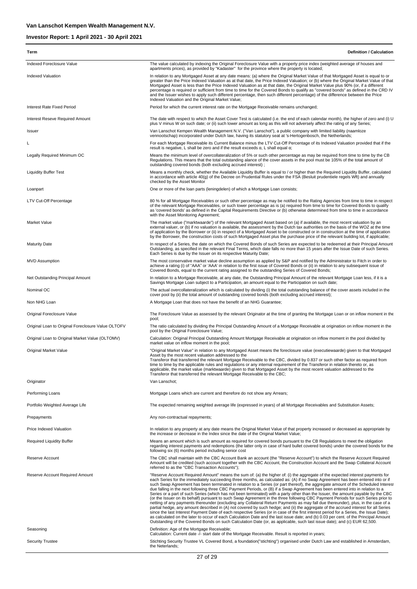| Term                                               | <b>Definition / Calculation</b>                                                                                                                                                                                                                                                                                                                                                                                                                                                                                                                                                                                                                                                                                                                                                                                                                                                                                                                                                                                                                                                                                                                                                                                                                                                                                                                                                                                                                                                                             |
|----------------------------------------------------|-------------------------------------------------------------------------------------------------------------------------------------------------------------------------------------------------------------------------------------------------------------------------------------------------------------------------------------------------------------------------------------------------------------------------------------------------------------------------------------------------------------------------------------------------------------------------------------------------------------------------------------------------------------------------------------------------------------------------------------------------------------------------------------------------------------------------------------------------------------------------------------------------------------------------------------------------------------------------------------------------------------------------------------------------------------------------------------------------------------------------------------------------------------------------------------------------------------------------------------------------------------------------------------------------------------------------------------------------------------------------------------------------------------------------------------------------------------------------------------------------------------|
| Indexed Foreclosure Value                          | The value calculated by indexing the Original Foreclosure Value with a property price index (weighted average of houses and<br>apartments prices), as provided by "Kadaster" for the province where the property is located;                                                                                                                                                                                                                                                                                                                                                                                                                                                                                                                                                                                                                                                                                                                                                                                                                                                                                                                                                                                                                                                                                                                                                                                                                                                                                |
| <b>Indexed Valuation</b>                           | In relation to any Mortgaged Asset at any date means: (a) where the Original Market Value of that Mortgaged Asset is equal to or<br>greater than the Price Indexed Valuation as at that date, the Price Indexed Valuation; or (b) where the Original Market Value of that<br>Mortgaged Asset is less than the Price Indexed Valuation as at that date, the Original Market Value plus 90% (or, if a different<br>percentage is required or sufficient from time to time for the Covered Bonds to qualify as "covered bonds" as defined in the CRD IV<br>and the Issuer wishes to apply such different percentage, then such different percentage) of the difference between the Price<br>Indexed Valuation and the Original Market Value;                                                                                                                                                                                                                                                                                                                                                                                                                                                                                                                                                                                                                                                                                                                                                                   |
| Interest Rate Fixed Period                         | Period for which the current interest rate on the Mortgage Receivable remains unchanged;                                                                                                                                                                                                                                                                                                                                                                                                                                                                                                                                                                                                                                                                                                                                                                                                                                                                                                                                                                                                                                                                                                                                                                                                                                                                                                                                                                                                                    |
| <b>Interest Reseve Required Amount</b>             | The date with respect to which the Asset Cover Test is calculated (i.e. the end of each calendar month), the higher of zero and (i) U<br>plus V minus W on such date; or (ii) such lower amount as long as this will not adversely affect the rating of any Series;                                                                                                                                                                                                                                                                                                                                                                                                                                                                                                                                                                                                                                                                                                                                                                                                                                                                                                                                                                                                                                                                                                                                                                                                                                         |
| Issuer                                             | Van Lanschot Kempen Wealth Management N.V. ("Van Lanschot"), a public company with limited liability (naamloze<br>vennootschap) incorporated under Dutch law, having its statutory seat at 's-Hertogenbosch, the Netherlands;                                                                                                                                                                                                                                                                                                                                                                                                                                                                                                                                                                                                                                                                                                                                                                                                                                                                                                                                                                                                                                                                                                                                                                                                                                                                               |
|                                                    | For each Mortgage Receivable its Current Balance minus the LTV Cut-Off Percentage of its Indexed Valuation provided that if the<br>result is negative, L shall be zero and if the result exceeds $\alpha$ , L shall equal $\alpha$ ;                                                                                                                                                                                                                                                                                                                                                                                                                                                                                                                                                                                                                                                                                                                                                                                                                                                                                                                                                                                                                                                                                                                                                                                                                                                                        |
| Legally Required Minimum OC                        | Means the minimum level of overcollateralization of 5% or such other percentage as may be required from time to time by the CB<br>Regulations. This means that the total outstanding alance of the cover assets in the pool must be 105% of the total amount of<br>outstanding covered bonds (both excluding accrued interest);                                                                                                                                                                                                                                                                                                                                                                                                                                                                                                                                                                                                                                                                                                                                                                                                                                                                                                                                                                                                                                                                                                                                                                             |
| <b>Liquidity Buffer Test</b>                       | Means a monthly check, whether the Available Liquidity Buffer is equal to / or higher than the Required Liquidity Buffer, calculated<br>in accordance with article 40(g) of the Decree on Prudential Rules under the FSA (Besluit prudentiele regels Wft) and annually<br>checked by the Asset Monitor                                                                                                                                                                                                                                                                                                                                                                                                                                                                                                                                                                                                                                                                                                                                                                                                                                                                                                                                                                                                                                                                                                                                                                                                      |
| Loanpart                                           | One or more of the loan parts (leningdelen) of which a Mortgage Loan consists;                                                                                                                                                                                                                                                                                                                                                                                                                                                                                                                                                                                                                                                                                                                                                                                                                                                                                                                                                                                                                                                                                                                                                                                                                                                                                                                                                                                                                              |
| LTV Cut-Off Percentage                             | 80 % for all Mortgage Receivables or such other percentage as may be notified to the Rating Agencies from time to time in respect<br>of the relevant Mortgage Receivables, or such lower percentage as is (a) required from time to time for Covered Bonds to qualify<br>as 'covered bonds' as defined in the Capital Requirements Directive or (b) otherwise determined from time to time in accordance<br>with the Asset Monitoring Agreement;                                                                                                                                                                                                                                                                                                                                                                                                                                                                                                                                                                                                                                                                                                                                                                                                                                                                                                                                                                                                                                                            |
| Market Value                                       | The market value ("marktwaarde") of the relevant Mortgaged Asset based on (a) if available, the most recent valuation by an<br>external valuer, or (b) if no valuation is available, the assessment by the Dutch tax authorities on the basis of the WOZ at the time<br>of application by the Borrower or (ii) in respect of a Mortgaged Asset to be constructed or in construction at the time of application<br>by the Borrower, the construction costs of such Mortgaged Asset plus the purchase price of the relevant building lot, if applicable;                                                                                                                                                                                                                                                                                                                                                                                                                                                                                                                                                                                                                                                                                                                                                                                                                                                                                                                                                      |
| <b>Maturity Date</b>                               | In respect of a Series, the date on which the Covered Bonds of such Series are expected to be redeemed at their Principal Amount<br>Outstanding, as specified in the relevant Final Terms, which date falls no more than 15 years after the Issue Date of such Series.<br>Each Series is due by the Issuer on its respective Maturity Date;                                                                                                                                                                                                                                                                                                                                                                                                                                                                                                                                                                                                                                                                                                                                                                                                                                                                                                                                                                                                                                                                                                                                                                 |
| <b>MVD Assumption</b>                              | The most conservative market value decline assumption as applied by S&P and notified by the Administrator to Fitch in order to<br>achieve a rating (i) of "AAA" or 'AAA' in relation to the first issue of Covered Bonds or (ii) in relation to any subsequent issue of<br>Covered Bonds, equal to the current rating assigned to the outstanding Series of Covered Bonds;                                                                                                                                                                                                                                                                                                                                                                                                                                                                                                                                                                                                                                                                                                                                                                                                                                                                                                                                                                                                                                                                                                                                  |
| Net Outstanding Principal Amount                   | In relation to a Mortgage Receivable, at any date, the Outstanding Principal Amount of the relevant Mortgage Loan less, if it is a<br>Savings Mortgage Loan subject to a Participation, an amount equal to the Participation on such date;                                                                                                                                                                                                                                                                                                                                                                                                                                                                                                                                                                                                                                                                                                                                                                                                                                                                                                                                                                                                                                                                                                                                                                                                                                                                  |
| Nominal OC                                         | The actual overcollateralization which is calculated by dividing (i) the total outstanding balance of the cover assets included in the<br>cover pool by (ii) the total amount of outstanding covered bonds (both excluding accrued interest);                                                                                                                                                                                                                                                                                                                                                                                                                                                                                                                                                                                                                                                                                                                                                                                                                                                                                                                                                                                                                                                                                                                                                                                                                                                               |
| Non NHG Loan                                       | A Mortgage Loan that does not have the benefit of an NHG Guarantee;                                                                                                                                                                                                                                                                                                                                                                                                                                                                                                                                                                                                                                                                                                                                                                                                                                                                                                                                                                                                                                                                                                                                                                                                                                                                                                                                                                                                                                         |
| Original Foreclosure Value                         | The Foreclosure Value as assessed by the relevant Originator at the time of granting the Mortgage Loan or on inflow moment in the<br>pool;                                                                                                                                                                                                                                                                                                                                                                                                                                                                                                                                                                                                                                                                                                                                                                                                                                                                                                                                                                                                                                                                                                                                                                                                                                                                                                                                                                  |
| Original Loan to Original Foreclosure Value OLTOFV | The ratio calculated by dividing the Principal Outstanding Amount of a Mortgage Receivable at origination on inflow moment in the<br>pool by the Original Foreclosure Value;                                                                                                                                                                                                                                                                                                                                                                                                                                                                                                                                                                                                                                                                                                                                                                                                                                                                                                                                                                                                                                                                                                                                                                                                                                                                                                                                |
| Original Loan to Original Market Value (OLTOMV)    | Calculation: Original Principal Outstanding Amount Mortgage Receivable at origination on inflow moment in the pool divided by<br>market value on inflow moment in the pool;                                                                                                                                                                                                                                                                                                                                                                                                                                                                                                                                                                                                                                                                                                                                                                                                                                                                                                                                                                                                                                                                                                                                                                                                                                                                                                                                 |
| Original Market Value                              | "Original Market Value" in relation to any Mortgaged Asset means the foreclosure value (executiewaarde) given to that Mortgaged<br>Asset by the most recent valuation addressed to the<br>Transferor that transferred the relevant Mortgage Receivable to the CBC, divided by 0.837 or such other factor as required from<br>time to time by the applicable rules and regulations or any internal requirement of the Transferor in relation thereto or, as<br>applicable, the market value (marktwaarde) given to that Mortgaged Asset by the most recent valuation addressed to the<br>Transferor that transferred the relevant Mortgage Receivable to the CBC;                                                                                                                                                                                                                                                                                                                                                                                                                                                                                                                                                                                                                                                                                                                                                                                                                                            |
| Originator                                         | Van Lanschot;                                                                                                                                                                                                                                                                                                                                                                                                                                                                                                                                                                                                                                                                                                                                                                                                                                                                                                                                                                                                                                                                                                                                                                                                                                                                                                                                                                                                                                                                                               |
| Performing Loans                                   | Mortgage Loans which are current and therefore do not show any Arrears;                                                                                                                                                                                                                                                                                                                                                                                                                                                                                                                                                                                                                                                                                                                                                                                                                                                                                                                                                                                                                                                                                                                                                                                                                                                                                                                                                                                                                                     |
| Portfolio Weighted Average Life                    | The expected remaining weighted average life (expressed in years) of all Mortgage Receivables and Substitution Assets;                                                                                                                                                                                                                                                                                                                                                                                                                                                                                                                                                                                                                                                                                                                                                                                                                                                                                                                                                                                                                                                                                                                                                                                                                                                                                                                                                                                      |
| Prepayments                                        | Any non-contractual repayments;                                                                                                                                                                                                                                                                                                                                                                                                                                                                                                                                                                                                                                                                                                                                                                                                                                                                                                                                                                                                                                                                                                                                                                                                                                                                                                                                                                                                                                                                             |
| Price Indexed Valuation                            | In relation to any property at any date means the Original Market Value of that property increased or decreased as appropriate by<br>the increase or decrease in the Index since the date of the Original Market Value;                                                                                                                                                                                                                                                                                                                                                                                                                                                                                                                                                                                                                                                                                                                                                                                                                                                                                                                                                                                                                                                                                                                                                                                                                                                                                     |
| <b>Required Liquidity Buffer</b>                   | Means an amount which is such amount as required for covered bonds pursuant to the CB Regulations to meet the obligation<br>regarding interest payments and redemptions (the latter only in case of hard bullet covered bonds) under the covered bonds for the<br>following six (6) months period including senior cost                                                                                                                                                                                                                                                                                                                                                                                                                                                                                                                                                                                                                                                                                                                                                                                                                                                                                                                                                                                                                                                                                                                                                                                     |
| Reserve Account                                    | The CBC shall maintain with the CBC Account Bank an account (the "Reserve Account") to which the Reserve Account Required<br>Amount will be credited (such account together with the CBC Account, the Construction Account and the Swap Collateral Account<br>referred to as the "CBC Transaction Accounts");                                                                                                                                                                                                                                                                                                                                                                                                                                                                                                                                                                                                                                                                                                                                                                                                                                                                                                                                                                                                                                                                                                                                                                                               |
| Reserve Account Required Amount                    | "Reserve Account Required Amount" means the sum of: (a) the higher of: (i) the aggregate of the expected interest payments for<br>each Series for the immediately succeeding three months, as calculated as: (A) if no Swap Agreement has been entered into or if<br>such Swap Agreement has been terminated in relation to a Series (or part thereof), the aggregate amount of the Scheduled Interest<br>due falling in the next following three CBC Payment Periods, or (B) if a Swap Agreement has been entered into in relation to a<br>Series or a part of such Series (which has not been terminated) with a party other than the Issuer, the amount payable by the CBC<br>(or the Issuer on its behalf) pursuant to such Swap Agreement in the three following CBC Payment Periods for such Series prior to<br>netting of any payments thereunder (excluding any Collateral Return Payments as may fall due thereunder), plus, in the case of a<br>partial hedge, any amount described in (A) not covered by such hedge; and (ii) the aggregate of the accrued interest for all Series<br>since the last Interest Payment Date of each respective Series (or in case of the first interest period for a Series, the Issue Date);<br>as calculated on the later to occur of each Calculation Date and the last issue date; and (b) 0.03 per cent. of the Principal Amount<br>Outstanding of the Covered Bonds on such Calculation Date (or, as applicable, such last issue date); and (c) EUR 62,500. |
| Seasoning                                          | Definition: Age of the Mortgage Receivable;<br>Calculation: Current date -/- start date of the Mortgage Receivable. Result is reported in years;                                                                                                                                                                                                                                                                                                                                                                                                                                                                                                                                                                                                                                                                                                                                                                                                                                                                                                                                                                                                                                                                                                                                                                                                                                                                                                                                                            |
| <b>Security Trustee</b>                            | Stichting Security Trustee VL Covered Bond, a foundation("stichting") organised under Dutch Law and established in Amsterdam,<br>the Neterlands;                                                                                                                                                                                                                                                                                                                                                                                                                                                                                                                                                                                                                                                                                                                                                                                                                                                                                                                                                                                                                                                                                                                                                                                                                                                                                                                                                            |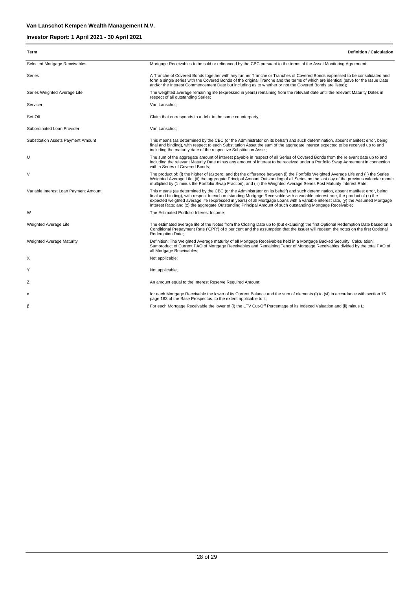| Term                                  | <b>Definition / Calculation</b>                                                                                                                                                                                                                                                                                                                                                                                                                                                                                     |
|---------------------------------------|---------------------------------------------------------------------------------------------------------------------------------------------------------------------------------------------------------------------------------------------------------------------------------------------------------------------------------------------------------------------------------------------------------------------------------------------------------------------------------------------------------------------|
| Selected Mortgage Receivables         | Mortgage Receivables to be sold or refinanced by the CBC pursuant to the terms of the Asset Monitoring Agreement;                                                                                                                                                                                                                                                                                                                                                                                                   |
| Series                                | A Tranche of Covered Bonds together with any further Tranche or Tranches of Covered Bonds expressed to be consolidated and<br>form a single series with the Covered Bonds of the original Tranche and the terms of which are identical (save for the Issue Date<br>and/or the Interest Commencement Date but including as to whether or not the Covered Bonds are listed);                                                                                                                                          |
| Series Weighted Average Life          | The weighted average remaining life (expressed in years) remaining from the relevant date until the relevant Maturity Dates in<br>respect of all outstanding Series;                                                                                                                                                                                                                                                                                                                                                |
| Servicer                              | Van Lanschot:                                                                                                                                                                                                                                                                                                                                                                                                                                                                                                       |
| Set-Off                               | Claim that corresponds to a debt to the same counterparty;                                                                                                                                                                                                                                                                                                                                                                                                                                                          |
| Subordinated Loan Provider            | Van Lanschot:                                                                                                                                                                                                                                                                                                                                                                                                                                                                                                       |
| Substitution Assets Payment Amount    | This means (as determined by the CBC (or the Administrator on its behalf) and such determination, absent manifest error, being<br>final and binding), with respect to each Substitution Asset the sum of the aggregate interest expected to be received up to and<br>including the maturity date of the respective Substitution Asset;                                                                                                                                                                              |
| U                                     | The sum of the aggregate amount of interest payable in respect of all Series of Covered Bonds from the relevant date up to and<br>including the relevant Maturity Date minus any amount of interest to be received under a Portfolio Swap Agreement in connection<br>with a Series of Covered Bonds;                                                                                                                                                                                                                |
| V                                     | The product of: (i) the higher of (a) zero; and (b) the difference between (i) the Portfolio Weighted Average Life and (ii) the Series<br>Weighted Average Life, (ii) the aggregate Principal Amount Outstanding of all Series on the last day of the previous calendar month<br>multiplied by (1 minus the Portfolio Swap Fraction), and (iii) the Weighted Average Series Post Maturity Interest Rate;                                                                                                            |
| Variable Interest Loan Payment Amount | This means (as determined by the CBC (or the Administrator on its behalf) and such determination, absent manifest error, being<br>final and binding), with respect to each outstanding Mortgage Receivable with a variable interest rate, the product of (x) the<br>expected weighted average life (expressed in years) of all Mortgage Loans with a variable interest rate, (y) the Assumed Mortgage<br>Interest Rate; and (z) the aggregate Outstanding Principal Amount of such outstanding Mortgage Receivable; |
| W                                     | The Estimated Portfolio Interest Income;                                                                                                                                                                                                                                                                                                                                                                                                                                                                            |
| Weighted Average Life                 | The estimated average life of the Notes from the Closing Date up to (but excluding) the first Optional Redemption Date based on a<br>Conditional Prepayment Rate ('CPR') of x per cent and the assumption that the Issuer will redeem the notes on the first Optional<br>Redemption Date;                                                                                                                                                                                                                           |
| Weighted Average Maturity             | Definition: The Weighted Average maturity of all Mortgage Receivables held in a Mortgage Backed Security; Calculation:<br>Sumproduct of Current PAO of Mortgage Receivables and Remaining Tenor of Mortgage Receivables divided by the total PAO of<br>all Mortgage Receivables;                                                                                                                                                                                                                                    |
| Х                                     | Not applicable;                                                                                                                                                                                                                                                                                                                                                                                                                                                                                                     |
| Υ                                     | Not applicable;                                                                                                                                                                                                                                                                                                                                                                                                                                                                                                     |
| Ζ                                     | An amount equal to the Interest Reserve Required Amount;                                                                                                                                                                                                                                                                                                                                                                                                                                                            |
| α                                     | for each Mortgage Receivable the lower of its Current Balance and the sum of elements (i) to (vi) in accordance with section 15<br>page 163 of the Base Prospectus, to the extent applicable to it;                                                                                                                                                                                                                                                                                                                 |
| ß                                     | For each Mortgage Receivable the lower of (i) the LTV Cut-Off Percentage of its Indexed Valuation and (ii) minus L;                                                                                                                                                                                                                                                                                                                                                                                                 |